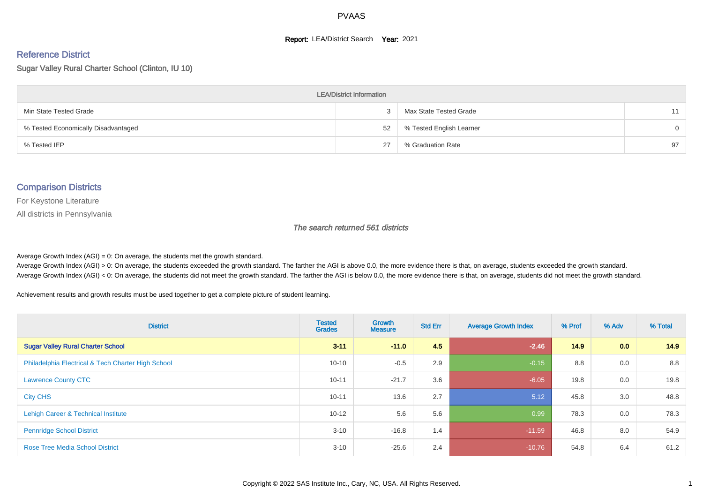#### **Report: LEA/District Search Year: 2021**

# Reference District

Sugar Valley Rural Charter School (Clinton, IU 10)

| <b>LEA/District Information</b>     |    |                          |          |  |  |  |  |  |  |  |
|-------------------------------------|----|--------------------------|----------|--|--|--|--|--|--|--|
| Min State Tested Grade              |    | Max State Tested Grade   | 11       |  |  |  |  |  |  |  |
| % Tested Economically Disadvantaged | 52 | % Tested English Learner | $\Omega$ |  |  |  |  |  |  |  |
| % Tested IEP                        | 27 | % Graduation Rate        | 97       |  |  |  |  |  |  |  |

#### Comparison Districts

For Keystone Literature

All districts in Pennsylvania

The search returned 561 districts

Average Growth Index  $(AGI) = 0$ : On average, the students met the growth standard.

Average Growth Index (AGI) > 0: On average, the students exceeded the growth standard. The farther the AGI is above 0.0, the more evidence there is that, on average, students exceeded the growth standard. Average Growth Index (AGI) < 0: On average, the students did not meet the growth standard. The farther the AGI is below 0.0, the more evidence there is that, on average, students did not meet the growth standard.

Achievement results and growth results must be used together to get a complete picture of student learning.

| <b>District</b>                                    | <b>Tested</b><br><b>Grades</b> | <b>Growth</b><br><b>Measure</b> | <b>Std Err</b> | <b>Average Growth Index</b> | % Prof | % Adv | % Total |
|----------------------------------------------------|--------------------------------|---------------------------------|----------------|-----------------------------|--------|-------|---------|
| <b>Sugar Valley Rural Charter School</b>           | $3 - 11$                       | $-11.0$                         | 4.5            | $-2.46$                     | 14.9   | 0.0   | 14.9    |
| Philadelphia Electrical & Tech Charter High School | $10 - 10$                      | $-0.5$                          | 2.9            | $-0.15$                     | 8.8    | 0.0   | 8.8     |
| <b>Lawrence County CTC</b>                         | $10 - 11$                      | $-21.7$                         | 3.6            | $-6.05$                     | 19.8   | 0.0   | 19.8    |
| <b>City CHS</b>                                    | $10 - 11$                      | 13.6                            | 2.7            | 5.12                        | 45.8   | 3.0   | 48.8    |
| Lehigh Career & Technical Institute                | $10 - 12$                      | 5.6                             | 5.6            | 0.99                        | 78.3   | 0.0   | 78.3    |
| <b>Pennridge School District</b>                   | $3 - 10$                       | $-16.8$                         | 1.4            | $-11.59$                    | 46.8   | 8.0   | 54.9    |
| <b>Rose Tree Media School District</b>             | $3 - 10$                       | $-25.6$                         | 2.4            | $-10.76$                    | 54.8   | 6.4   | 61.2    |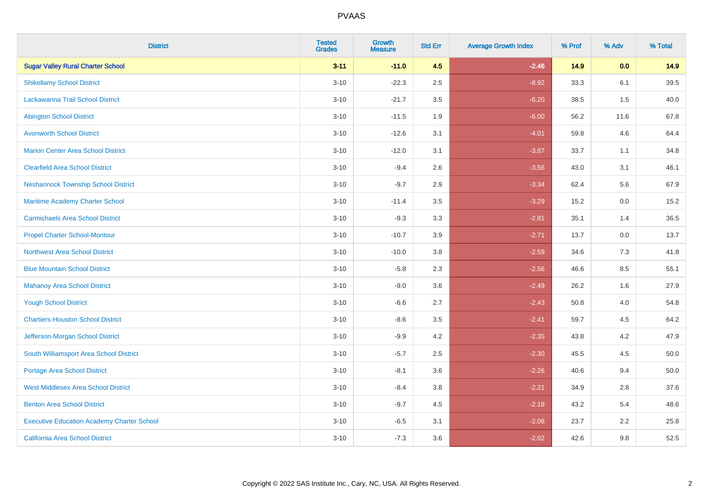| <b>District</b>                                   | <b>Tested</b><br><b>Grades</b> | <b>Growth</b><br><b>Measure</b> | <b>Std Err</b> | <b>Average Growth Index</b> | % Prof | % Adv | % Total |
|---------------------------------------------------|--------------------------------|---------------------------------|----------------|-----------------------------|--------|-------|---------|
| <b>Sugar Valley Rural Charter School</b>          | $3 - 11$                       | $-11.0$                         | 4.5            | $-2.46$                     | 14.9   | 0.0   | 14.9    |
| <b>Shikellamy School District</b>                 | $3 - 10$                       | $-22.3$                         | 2.5            | $-8.92$                     | 33.3   | 6.1   | 39.5    |
| Lackawanna Trail School District                  | $3 - 10$                       | $-21.7$                         | 3.5            | $-6.20$                     | 38.5   | 1.5   | 40.0    |
| <b>Abington School District</b>                   | $3 - 10$                       | $-11.5$                         | 1.9            | $-6.00$                     | 56.2   | 11.6  | 67.8    |
| <b>Avonworth School District</b>                  | $3 - 10$                       | $-12.6$                         | 3.1            | $-4.01$                     | 59.8   | 4.6   | 64.4    |
| <b>Marion Center Area School District</b>         | $3 - 10$                       | $-12.0$                         | 3.1            | $-3.87$                     | 33.7   | 1.1   | 34.8    |
| <b>Clearfield Area School District</b>            | $3 - 10$                       | $-9.4$                          | 2.6            | $-3.56$                     | 43.0   | 3.1   | 46.1    |
| <b>Neshannock Township School District</b>        | $3 - 10$                       | $-9.7$                          | 2.9            | $-3.34$                     | 62.4   | 5.6   | 67.9    |
| Maritime Academy Charter School                   | $3 - 10$                       | $-11.4$                         | 3.5            | $-3.29$                     | 15.2   | 0.0   | 15.2    |
| <b>Carmichaels Area School District</b>           | $3 - 10$                       | $-9.3$                          | 3.3            | $-2.81$                     | 35.1   | 1.4   | 36.5    |
| <b>Propel Charter School-Montour</b>              | $3 - 10$                       | $-10.7$                         | 3.9            | $-2.71$                     | 13.7   | 0.0   | 13.7    |
| <b>Northwest Area School District</b>             | $3 - 10$                       | $-10.0$                         | 3.8            | $-2.59$                     | 34.6   | 7.3   | 41.8    |
| <b>Blue Mountain School District</b>              | $3 - 10$                       | $-5.8$                          | 2.3            | $-2.56$                     | 46.6   | 8.5   | 55.1    |
| <b>Mahanoy Area School District</b>               | $3 - 10$                       | $-9.0$                          | 3.6            | $-2.49$                     | 26.2   | 1.6   | 27.9    |
| <b>Yough School District</b>                      | $3 - 10$                       | $-6.6$                          | 2.7            | $-2.43$                     | 50.8   | 4.0   | 54.8    |
| <b>Chartiers-Houston School District</b>          | $3 - 10$                       | $-8.6$                          | 3.5            | $-2.41$                     | 59.7   | 4.5   | 64.2    |
| Jefferson-Morgan School District                  | $3 - 10$                       | $-9.9$                          | 4.2            | $-2.35$                     | 43.8   | 4.2   | 47.9    |
| South Williamsport Area School District           | $3 - 10$                       | $-5.7$                          | 2.5            | $-2.30$                     | 45.5   | 4.5   | 50.0    |
| <b>Portage Area School District</b>               | $3 - 10$                       | $-8.1$                          | 3.6            | $-2.26$                     | 40.6   | 9.4   | 50.0    |
| <b>West Middlesex Area School District</b>        | $3 - 10$                       | $-8.4$                          | 3.8            | $-2.21$                     | 34.9   | 2.8   | 37.6    |
| <b>Benton Area School District</b>                | $3 - 10$                       | $-9.7$                          | 4.5            | $-2.18$                     | 43.2   | 5.4   | 48.6    |
| <b>Executive Education Academy Charter School</b> | $3 - 10$                       | $-6.5$                          | 3.1            | $-2.08$                     | 23.7   | 2.2   | 25.8    |
| California Area School District                   | $3 - 10$                       | $-7.3$                          | 3.6            | $-2.02$                     | 42.6   | 9.8   | 52.5    |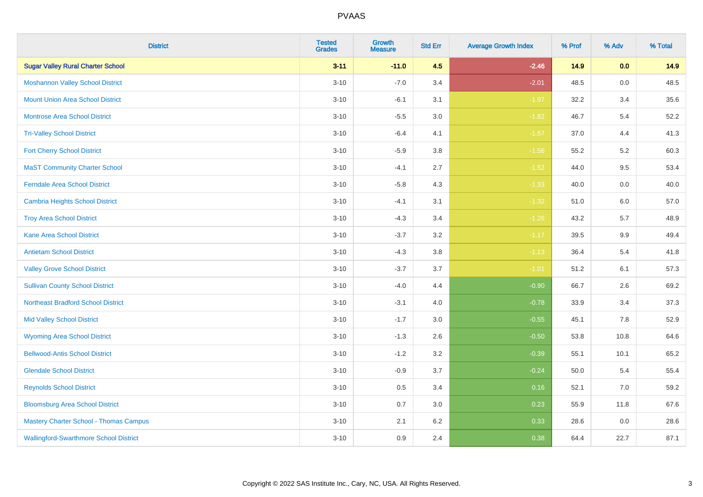| <b>District</b>                               | <b>Tested</b><br><b>Grades</b> | Growth<br><b>Measure</b> | <b>Std Err</b> | <b>Average Growth Index</b> | % Prof | % Adv   | % Total |
|-----------------------------------------------|--------------------------------|--------------------------|----------------|-----------------------------|--------|---------|---------|
| <b>Sugar Valley Rural Charter School</b>      | $3 - 11$                       | $-11.0$                  | 4.5            | $-2.46$                     | 14.9   | 0.0     | 14.9    |
| <b>Moshannon Valley School District</b>       | $3 - 10$                       | $-7.0$                   | 3.4            | $-2.01$                     | 48.5   | $0.0\,$ | 48.5    |
| <b>Mount Union Area School District</b>       | $3 - 10$                       | $-6.1$                   | 3.1            | $-1.97$                     | 32.2   | 3.4     | 35.6    |
| Montrose Area School District                 | $3 - 10$                       | $-5.5$                   | 3.0            | $-1.82$                     | 46.7   | $5.4$   | 52.2    |
| <b>Tri-Valley School District</b>             | $3 - 10$                       | $-6.4$                   | 4.1            | $-1.57$                     | 37.0   | 4.4     | 41.3    |
| <b>Fort Cherry School District</b>            | $3 - 10$                       | $-5.9$                   | 3.8            | $-1.56$                     | 55.2   | $5.2\,$ | 60.3    |
| <b>MaST Community Charter School</b>          | $3 - 10$                       | $-4.1$                   | 2.7            | $-1.52$                     | 44.0   | 9.5     | 53.4    |
| <b>Ferndale Area School District</b>          | $3 - 10$                       | $-5.8$                   | 4.3            | $-1.33$                     | 40.0   | 0.0     | 40.0    |
| <b>Cambria Heights School District</b>        | $3 - 10$                       | $-4.1$                   | 3.1            | $-1.32$                     | 51.0   | 6.0     | 57.0    |
| <b>Troy Area School District</b>              | $3 - 10$                       | $-4.3$                   | 3.4            | $-1.26$                     | 43.2   | 5.7     | 48.9    |
| <b>Kane Area School District</b>              | $3 - 10$                       | $-3.7$                   | 3.2            | $-1.17$                     | 39.5   | 9.9     | 49.4    |
| <b>Antietam School District</b>               | $3 - 10$                       | $-4.3$                   | 3.8            | $-1.13$                     | 36.4   | 5.4     | 41.8    |
| <b>Valley Grove School District</b>           | $3 - 10$                       | $-3.7$                   | 3.7            | $-1.01$                     | 51.2   | 6.1     | 57.3    |
| <b>Sullivan County School District</b>        | $3 - 10$                       | $-4.0$                   | 4.4            | $-0.90$                     | 66.7   | 2.6     | 69.2    |
| <b>Northeast Bradford School District</b>     | $3 - 10$                       | $-3.1$                   | 4.0            | $-0.78$                     | 33.9   | 3.4     | 37.3    |
| <b>Mid Valley School District</b>             | $3 - 10$                       | $-1.7$                   | 3.0            | $-0.55$                     | 45.1   | 7.8     | 52.9    |
| <b>Wyoming Area School District</b>           | $3 - 10$                       | $-1.3$                   | 2.6            | $-0.50$                     | 53.8   | 10.8    | 64.6    |
| <b>Bellwood-Antis School District</b>         | $3 - 10$                       | $-1.2$                   | 3.2            | $-0.39$                     | 55.1   | 10.1    | 65.2    |
| <b>Glendale School District</b>               | $3 - 10$                       | $-0.9$                   | 3.7            | $-0.24$                     | 50.0   | 5.4     | 55.4    |
| <b>Reynolds School District</b>               | $3 - 10$                       | 0.5                      | 3.4            | 0.16                        | 52.1   | 7.0     | 59.2    |
| <b>Bloomsburg Area School District</b>        | $3 - 10$                       | 0.7                      | 3.0            | 0.23                        | 55.9   | 11.8    | 67.6    |
| <b>Mastery Charter School - Thomas Campus</b> | $3 - 10$                       | 2.1                      | 6.2            | 0.33                        | 28.6   | 0.0     | 28.6    |
| <b>Wallingford-Swarthmore School District</b> | $3 - 10$                       | 0.9                      | 2.4            | 0.38                        | 64.4   | 22.7    | 87.1    |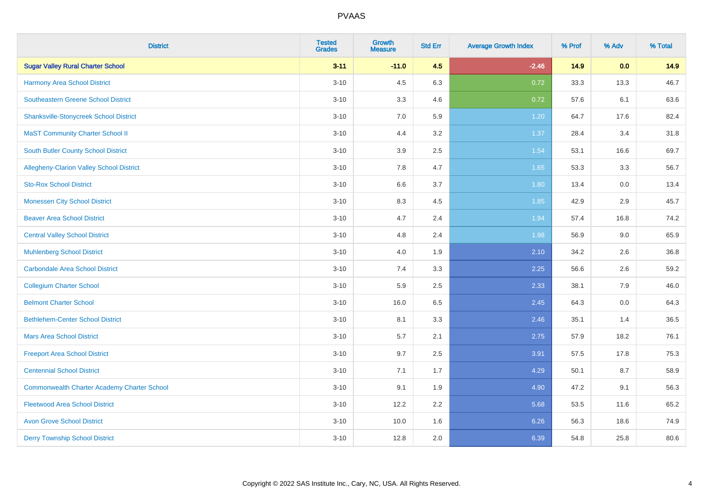| <b>District</b>                                    | <b>Tested</b><br><b>Grades</b> | <b>Growth</b><br><b>Measure</b> | <b>Std Err</b> | <b>Average Growth Index</b> | % Prof | % Adv | % Total |
|----------------------------------------------------|--------------------------------|---------------------------------|----------------|-----------------------------|--------|-------|---------|
| <b>Sugar Valley Rural Charter School</b>           | $3 - 11$                       | $-11.0$                         | 4.5            | $-2.46$                     | 14.9   | 0.0   | 14.9    |
| <b>Harmony Area School District</b>                | $3 - 10$                       | 4.5                             | 6.3            | 0.72                        | 33.3   | 13.3  | 46.7    |
| <b>Southeastern Greene School District</b>         | $3 - 10$                       | 3.3                             | 4.6            | 0.72                        | 57.6   | 6.1   | 63.6    |
| <b>Shanksville-Stonycreek School District</b>      | $3 - 10$                       | $7.0\,$                         | 5.9            | 1.20                        | 64.7   | 17.6  | 82.4    |
| <b>MaST Community Charter School II</b>            | $3 - 10$                       | 4.4                             | 3.2            | 1.37                        | 28.4   | 3.4   | 31.8    |
| <b>South Butler County School District</b>         | $3 - 10$                       | 3.9                             | 2.5            | 1.54                        | 53.1   | 16.6  | 69.7    |
| <b>Allegheny-Clarion Valley School District</b>    | $3 - 10$                       | $7.8\,$                         | 4.7            | 1.65                        | 53.3   | 3.3   | 56.7    |
| <b>Sto-Rox School District</b>                     | $3 - 10$                       | 6.6                             | 3.7            | 1.80                        | 13.4   | 0.0   | 13.4    |
| <b>Monessen City School District</b>               | $3 - 10$                       | 8.3                             | 4.5            | 1.85                        | 42.9   | 2.9   | 45.7    |
| <b>Beaver Area School District</b>                 | $3 - 10$                       | 4.7                             | 2.4            | 1.94                        | 57.4   | 16.8  | 74.2    |
| <b>Central Valley School District</b>              | $3 - 10$                       | 4.8                             | 2.4            | 1.98                        | 56.9   | 9.0   | 65.9    |
| <b>Muhlenberg School District</b>                  | $3 - 10$                       | 4.0                             | 1.9            | 2.10                        | 34.2   | 2.6   | 36.8    |
| <b>Carbondale Area School District</b>             | $3 - 10$                       | 7.4                             | 3.3            | 2.25                        | 56.6   | 2.6   | 59.2    |
| <b>Collegium Charter School</b>                    | $3 - 10$                       | 5.9                             | 2.5            | 2.33                        | 38.1   | 7.9   | 46.0    |
| <b>Belmont Charter School</b>                      | $3 - 10$                       | 16.0                            | 6.5            | 2.45                        | 64.3   | 0.0   | 64.3    |
| <b>Bethlehem-Center School District</b>            | $3 - 10$                       | 8.1                             | 3.3            | 2.46                        | 35.1   | 1.4   | 36.5    |
| <b>Mars Area School District</b>                   | $3 - 10$                       | 5.7                             | 2.1            | 2.75                        | 57.9   | 18.2  | 76.1    |
| <b>Freeport Area School District</b>               | $3 - 10$                       | 9.7                             | 2.5            | 3.91                        | 57.5   | 17.8  | 75.3    |
| <b>Centennial School District</b>                  | $3 - 10$                       | 7.1                             | 1.7            | 4.29                        | 50.1   | 8.7   | 58.9    |
| <b>Commonwealth Charter Academy Charter School</b> | $3 - 10$                       | 9.1                             | 1.9            | 4.90                        | 47.2   | 9.1   | 56.3    |
| <b>Fleetwood Area School District</b>              | $3 - 10$                       | 12.2                            | 2.2            | 5.68                        | 53.5   | 11.6  | 65.2    |
| <b>Avon Grove School District</b>                  | $3 - 10$                       | 10.0                            | 1.6            | 6.26                        | 56.3   | 18.6  | 74.9    |
| <b>Derry Township School District</b>              | $3 - 10$                       | 12.8                            | 2.0            | 6.39                        | 54.8   | 25.8  | 80.6    |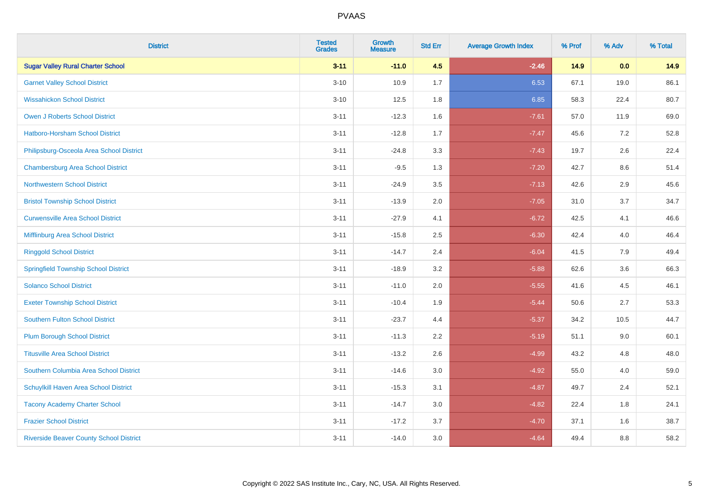| <b>District</b>                                | <b>Tested</b><br><b>Grades</b> | Growth<br><b>Measure</b> | <b>Std Err</b> | <b>Average Growth Index</b> | % Prof | % Adv   | % Total |
|------------------------------------------------|--------------------------------|--------------------------|----------------|-----------------------------|--------|---------|---------|
| <b>Sugar Valley Rural Charter School</b>       | $3 - 11$                       | $-11.0$                  | 4.5            | $-2.46$                     | 14.9   | 0.0     | 14.9    |
| <b>Garnet Valley School District</b>           | $3 - 10$                       | 10.9                     | 1.7            | 6.53                        | 67.1   | 19.0    | 86.1    |
| <b>Wissahickon School District</b>             | $3 - 10$                       | 12.5                     | 1.8            | 6.85                        | 58.3   | 22.4    | 80.7    |
| Owen J Roberts School District                 | $3 - 11$                       | $-12.3$                  | 1.6            | $-7.61$                     | 57.0   | 11.9    | 69.0    |
| <b>Hatboro-Horsham School District</b>         | $3 - 11$                       | $-12.8$                  | 1.7            | $-7.47$                     | 45.6   | 7.2     | 52.8    |
| Philipsburg-Osceola Area School District       | $3 - 11$                       | $-24.8$                  | 3.3            | $-7.43$                     | 19.7   | 2.6     | 22.4    |
| <b>Chambersburg Area School District</b>       | $3 - 11$                       | $-9.5$                   | 1.3            | $-7.20$                     | 42.7   | $8.6\,$ | 51.4    |
| <b>Northwestern School District</b>            | $3 - 11$                       | $-24.9$                  | 3.5            | $-7.13$                     | 42.6   | 2.9     | 45.6    |
| <b>Bristol Township School District</b>        | $3 - 11$                       | $-13.9$                  | 2.0            | $-7.05$                     | 31.0   | 3.7     | 34.7    |
| <b>Curwensville Area School District</b>       | $3 - 11$                       | $-27.9$                  | 4.1            | $-6.72$                     | 42.5   | 4.1     | 46.6    |
| Mifflinburg Area School District               | $3 - 11$                       | $-15.8$                  | 2.5            | $-6.30$                     | 42.4   | 4.0     | 46.4    |
| <b>Ringgold School District</b>                | $3 - 11$                       | $-14.7$                  | 2.4            | $-6.04$                     | 41.5   | 7.9     | 49.4    |
| <b>Springfield Township School District</b>    | $3 - 11$                       | $-18.9$                  | 3.2            | $-5.88$                     | 62.6   | 3.6     | 66.3    |
| <b>Solanco School District</b>                 | $3 - 11$                       | $-11.0$                  | 2.0            | $-5.55$                     | 41.6   | 4.5     | 46.1    |
| <b>Exeter Township School District</b>         | $3 - 11$                       | $-10.4$                  | 1.9            | $-5.44$                     | 50.6   | 2.7     | 53.3    |
| <b>Southern Fulton School District</b>         | $3 - 11$                       | $-23.7$                  | 4.4            | $-5.37$                     | 34.2   | 10.5    | 44.7    |
| <b>Plum Borough School District</b>            | $3 - 11$                       | $-11.3$                  | 2.2            | $-5.19$                     | 51.1   | 9.0     | 60.1    |
| <b>Titusville Area School District</b>         | $3 - 11$                       | $-13.2$                  | 2.6            | $-4.99$                     | 43.2   | 4.8     | 48.0    |
| Southern Columbia Area School District         | $3 - 11$                       | $-14.6$                  | 3.0            | $-4.92$                     | 55.0   | 4.0     | 59.0    |
| Schuylkill Haven Area School District          | $3 - 11$                       | $-15.3$                  | 3.1            | $-4.87$                     | 49.7   | 2.4     | 52.1    |
| <b>Tacony Academy Charter School</b>           | $3 - 11$                       | $-14.7$                  | 3.0            | $-4.82$                     | 22.4   | 1.8     | 24.1    |
| <b>Frazier School District</b>                 | $3 - 11$                       | $-17.2$                  | 3.7            | $-4.70$                     | 37.1   | 1.6     | 38.7    |
| <b>Riverside Beaver County School District</b> | $3 - 11$                       | $-14.0$                  | 3.0            | $-4.64$                     | 49.4   | 8.8     | 58.2    |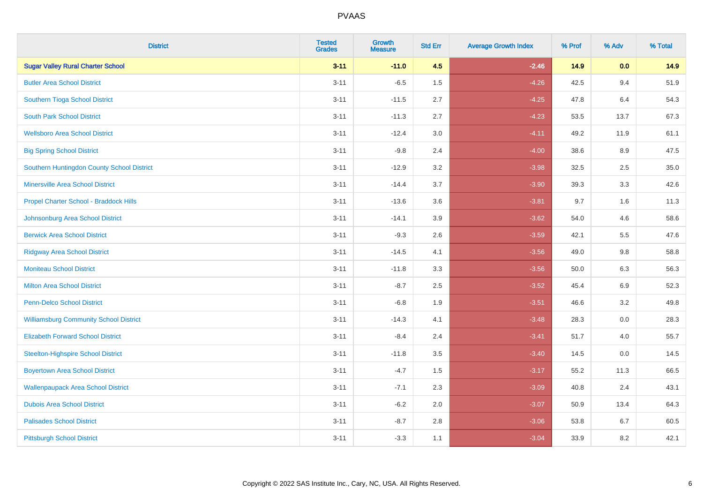| <b>District</b>                               | <b>Tested</b><br><b>Grades</b> | <b>Growth</b><br><b>Measure</b> | <b>Std Err</b> | <b>Average Growth Index</b> | % Prof | % Adv   | % Total |
|-----------------------------------------------|--------------------------------|---------------------------------|----------------|-----------------------------|--------|---------|---------|
| <b>Sugar Valley Rural Charter School</b>      | $3 - 11$                       | $-11.0$                         | 4.5            | $-2.46$                     | 14.9   | 0.0     | 14.9    |
| <b>Butler Area School District</b>            | $3 - 11$                       | $-6.5$                          | 1.5            | $-4.26$                     | 42.5   | 9.4     | 51.9    |
| Southern Tioga School District                | $3 - 11$                       | $-11.5$                         | 2.7            | $-4.25$                     | 47.8   | 6.4     | 54.3    |
| <b>South Park School District</b>             | $3 - 11$                       | $-11.3$                         | 2.7            | $-4.23$                     | 53.5   | 13.7    | 67.3    |
| <b>Wellsboro Area School District</b>         | $3 - 11$                       | $-12.4$                         | 3.0            | $-4.11$                     | 49.2   | 11.9    | 61.1    |
| <b>Big Spring School District</b>             | $3 - 11$                       | $-9.8$                          | 2.4            | $-4.00$                     | 38.6   | 8.9     | 47.5    |
| Southern Huntingdon County School District    | $3 - 11$                       | $-12.9$                         | 3.2            | $-3.98$                     | 32.5   | 2.5     | 35.0    |
| <b>Minersville Area School District</b>       | $3 - 11$                       | $-14.4$                         | 3.7            | $-3.90$                     | 39.3   | 3.3     | 42.6    |
| Propel Charter School - Braddock Hills        | $3 - 11$                       | $-13.6$                         | 3.6            | $-3.81$                     | 9.7    | 1.6     | 11.3    |
| Johnsonburg Area School District              | $3 - 11$                       | $-14.1$                         | 3.9            | $-3.62$                     | 54.0   | 4.6     | 58.6    |
| <b>Berwick Area School District</b>           | $3 - 11$                       | $-9.3$                          | 2.6            | $-3.59$                     | 42.1   | 5.5     | 47.6    |
| <b>Ridgway Area School District</b>           | $3 - 11$                       | $-14.5$                         | 4.1            | $-3.56$                     | 49.0   | 9.8     | 58.8    |
| <b>Moniteau School District</b>               | $3 - 11$                       | $-11.8$                         | 3.3            | $-3.56$                     | 50.0   | $6.3\,$ | 56.3    |
| <b>Milton Area School District</b>            | $3 - 11$                       | $-8.7$                          | 2.5            | $-3.52$                     | 45.4   | 6.9     | 52.3    |
| <b>Penn-Delco School District</b>             | $3 - 11$                       | $-6.8$                          | 1.9            | $-3.51$                     | 46.6   | 3.2     | 49.8    |
| <b>Williamsburg Community School District</b> | $3 - 11$                       | $-14.3$                         | 4.1            | $-3.48$                     | 28.3   | $0.0\,$ | 28.3    |
| <b>Elizabeth Forward School District</b>      | $3 - 11$                       | $-8.4$                          | 2.4            | $-3.41$                     | 51.7   | 4.0     | 55.7    |
| <b>Steelton-Highspire School District</b>     | $3 - 11$                       | $-11.8$                         | 3.5            | $-3.40$                     | 14.5   | 0.0     | 14.5    |
| <b>Boyertown Area School District</b>         | $3 - 11$                       | $-4.7$                          | 1.5            | $-3.17$                     | 55.2   | 11.3    | 66.5    |
| <b>Wallenpaupack Area School District</b>     | $3 - 11$                       | $-7.1$                          | 2.3            | $-3.09$                     | 40.8   | 2.4     | 43.1    |
| <b>Dubois Area School District</b>            | $3 - 11$                       | $-6.2$                          | 2.0            | $-3.07$                     | 50.9   | 13.4    | 64.3    |
| <b>Palisades School District</b>              | $3 - 11$                       | $-8.7$                          | 2.8            | $-3.06$                     | 53.8   | 6.7     | 60.5    |
| <b>Pittsburgh School District</b>             | $3 - 11$                       | $-3.3$                          | 1.1            | $-3.04$                     | 33.9   | 8.2     | 42.1    |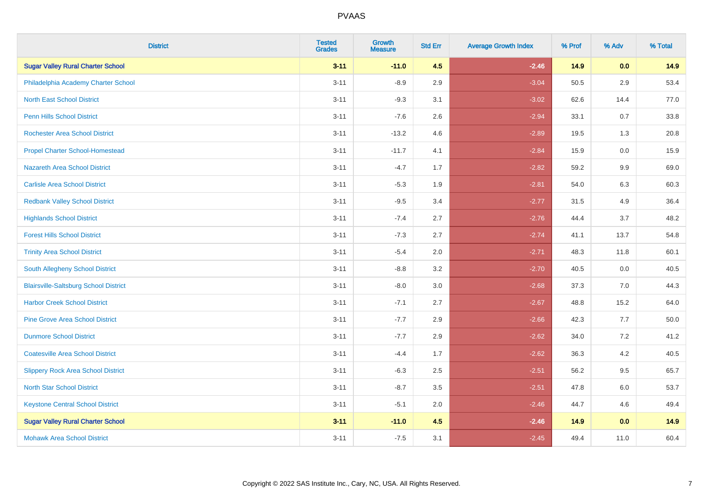| <b>District</b>                              | <b>Tested</b><br><b>Grades</b> | Growth<br><b>Measure</b> | <b>Std Err</b> | <b>Average Growth Index</b> | % Prof | % Adv   | % Total |
|----------------------------------------------|--------------------------------|--------------------------|----------------|-----------------------------|--------|---------|---------|
| <b>Sugar Valley Rural Charter School</b>     | $3 - 11$                       | $-11.0$                  | 4.5            | $-2.46$                     | 14.9   | 0.0     | 14.9    |
| Philadelphia Academy Charter School          | $3 - 11$                       | $-8.9$                   | 2.9            | $-3.04$                     | 50.5   | 2.9     | 53.4    |
| <b>North East School District</b>            | $3 - 11$                       | $-9.3$                   | 3.1            | $-3.02$                     | 62.6   | 14.4    | 77.0    |
| Penn Hills School District                   | $3 - 11$                       | $-7.6$                   | 2.6            | $-2.94$                     | 33.1   | 0.7     | 33.8    |
| <b>Rochester Area School District</b>        | $3 - 11$                       | $-13.2$                  | 4.6            | $-2.89$                     | 19.5   | 1.3     | 20.8    |
| <b>Propel Charter School-Homestead</b>       | $3 - 11$                       | $-11.7$                  | 4.1            | $-2.84$                     | 15.9   | $0.0\,$ | 15.9    |
| Nazareth Area School District                | $3 - 11$                       | $-4.7$                   | 1.7            | $-2.82$                     | 59.2   | 9.9     | 69.0    |
| <b>Carlisle Area School District</b>         | $3 - 11$                       | $-5.3$                   | 1.9            | $-2.81$                     | 54.0   | 6.3     | 60.3    |
| <b>Redbank Valley School District</b>        | $3 - 11$                       | $-9.5$                   | 3.4            | $-2.77$                     | 31.5   | 4.9     | 36.4    |
| <b>Highlands School District</b>             | $3 - 11$                       | $-7.4$                   | 2.7            | $-2.76$                     | 44.4   | 3.7     | 48.2    |
| <b>Forest Hills School District</b>          | $3 - 11$                       | $-7.3$                   | 2.7            | $-2.74$                     | 41.1   | 13.7    | 54.8    |
| <b>Trinity Area School District</b>          | $3 - 11$                       | $-5.4$                   | 2.0            | $-2.71$                     | 48.3   | 11.8    | 60.1    |
| South Allegheny School District              | $3 - 11$                       | $-8.8$                   | 3.2            | $-2.70$                     | 40.5   | 0.0     | 40.5    |
| <b>Blairsville-Saltsburg School District</b> | $3 - 11$                       | $-8.0$                   | 3.0            | $-2.68$                     | 37.3   | 7.0     | 44.3    |
| <b>Harbor Creek School District</b>          | $3 - 11$                       | $-7.1$                   | 2.7            | $-2.67$                     | 48.8   | 15.2    | 64.0    |
| <b>Pine Grove Area School District</b>       | $3 - 11$                       | $-7.7$                   | 2.9            | $-2.66$                     | 42.3   | 7.7     | 50.0    |
| <b>Dunmore School District</b>               | $3 - 11$                       | $-7.7$                   | 2.9            | $-2.62$                     | 34.0   | 7.2     | 41.2    |
| <b>Coatesville Area School District</b>      | $3 - 11$                       | $-4.4$                   | 1.7            | $-2.62$                     | 36.3   | 4.2     | 40.5    |
| <b>Slippery Rock Area School District</b>    | $3 - 11$                       | $-6.3$                   | 2.5            | $-2.51$                     | 56.2   | 9.5     | 65.7    |
| <b>North Star School District</b>            | $3 - 11$                       | $-8.7$                   | 3.5            | $-2.51$                     | 47.8   | 6.0     | 53.7    |
| <b>Keystone Central School District</b>      | $3 - 11$                       | $-5.1$                   | 2.0            | $-2.46$                     | 44.7   | 4.6     | 49.4    |
| <b>Sugar Valley Rural Charter School</b>     | $3 - 11$                       | $-11.0$                  | 4.5            | $-2.46$                     | 14.9   | 0.0     | 14.9    |
| <b>Mohawk Area School District</b>           | $3 - 11$                       | $-7.5$                   | 3.1            | $-2.45$                     | 49.4   | 11.0    | 60.4    |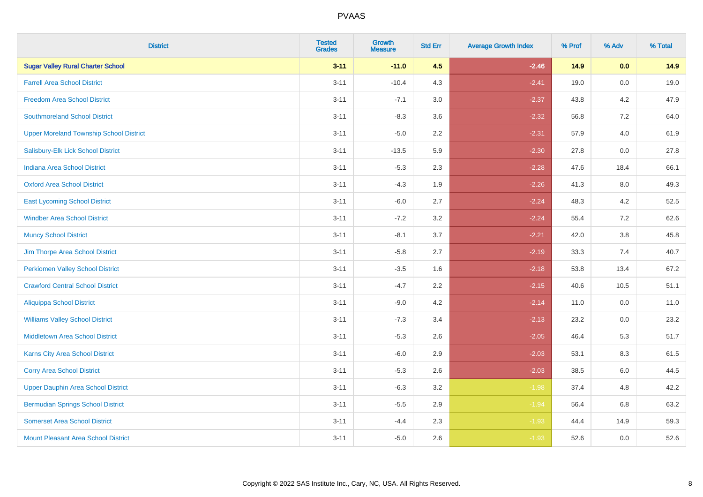| <b>District</b>                                | <b>Tested</b><br><b>Grades</b> | Growth<br><b>Measure</b> | <b>Std Err</b> | <b>Average Growth Index</b> | % Prof | % Adv   | % Total |
|------------------------------------------------|--------------------------------|--------------------------|----------------|-----------------------------|--------|---------|---------|
| <b>Sugar Valley Rural Charter School</b>       | $3 - 11$                       | $-11.0$                  | 4.5            | $-2.46$                     | 14.9   | 0.0     | 14.9    |
| <b>Farrell Area School District</b>            | $3 - 11$                       | $-10.4$                  | 4.3            | $-2.41$                     | 19.0   | 0.0     | 19.0    |
| <b>Freedom Area School District</b>            | $3 - 11$                       | $-7.1$                   | 3.0            | $-2.37$                     | 43.8   | 4.2     | 47.9    |
| <b>Southmoreland School District</b>           | $3 - 11$                       | $-8.3$                   | 3.6            | $-2.32$                     | 56.8   | 7.2     | 64.0    |
| <b>Upper Moreland Township School District</b> | $3 - 11$                       | $-5.0$                   | 2.2            | $-2.31$                     | 57.9   | 4.0     | 61.9    |
| Salisbury-Elk Lick School District             | $3 - 11$                       | $-13.5$                  | 5.9            | $-2.30$                     | 27.8   | 0.0     | 27.8    |
| <b>Indiana Area School District</b>            | $3 - 11$                       | $-5.3$                   | 2.3            | $-2.28$                     | 47.6   | 18.4    | 66.1    |
| <b>Oxford Area School District</b>             | $3 - 11$                       | $-4.3$                   | 1.9            | $-2.26$                     | 41.3   | 8.0     | 49.3    |
| <b>East Lycoming School District</b>           | $3 - 11$                       | $-6.0$                   | 2.7            | $-2.24$                     | 48.3   | 4.2     | 52.5    |
| <b>Windber Area School District</b>            | $3 - 11$                       | $-7.2$                   | 3.2            | $-2.24$                     | 55.4   | 7.2     | 62.6    |
| <b>Muncy School District</b>                   | $3 - 11$                       | $-8.1$                   | 3.7            | $-2.21$                     | 42.0   | $3.8\,$ | 45.8    |
| Jim Thorpe Area School District                | $3 - 11$                       | $-5.8$                   | 2.7            | $-2.19$                     | 33.3   | 7.4     | 40.7    |
| <b>Perkiomen Valley School District</b>        | $3 - 11$                       | $-3.5$                   | 1.6            | $-2.18$                     | 53.8   | 13.4    | 67.2    |
| <b>Crawford Central School District</b>        | $3 - 11$                       | $-4.7$                   | 2.2            | $-2.15$                     | 40.6   | 10.5    | 51.1    |
| <b>Aliquippa School District</b>               | $3 - 11$                       | $-9.0$                   | 4.2            | $-2.14$                     | 11.0   | 0.0     | 11.0    |
| <b>Williams Valley School District</b>         | $3 - 11$                       | $-7.3$                   | 3.4            | $-2.13$                     | 23.2   | 0.0     | 23.2    |
| <b>Middletown Area School District</b>         | $3 - 11$                       | $-5.3$                   | 2.6            | $-2.05$                     | 46.4   | 5.3     | 51.7    |
| <b>Karns City Area School District</b>         | $3 - 11$                       | $-6.0$                   | 2.9            | $-2.03$                     | 53.1   | 8.3     | 61.5    |
| <b>Corry Area School District</b>              | $3 - 11$                       | $-5.3$                   | 2.6            | $-2.03$                     | 38.5   | 6.0     | 44.5    |
| <b>Upper Dauphin Area School District</b>      | $3 - 11$                       | $-6.3$                   | 3.2            | $-1.98$                     | 37.4   | 4.8     | 42.2    |
| <b>Bermudian Springs School District</b>       | $3 - 11$                       | $-5.5$                   | 2.9            | $-1.94$                     | 56.4   | 6.8     | 63.2    |
| <b>Somerset Area School District</b>           | $3 - 11$                       | $-4.4$                   | 2.3            | $-1.93$                     | 44.4   | 14.9    | 59.3    |
| Mount Pleasant Area School District            | $3 - 11$                       | $-5.0$                   | 2.6            | $-1.93$                     | 52.6   | 0.0     | 52.6    |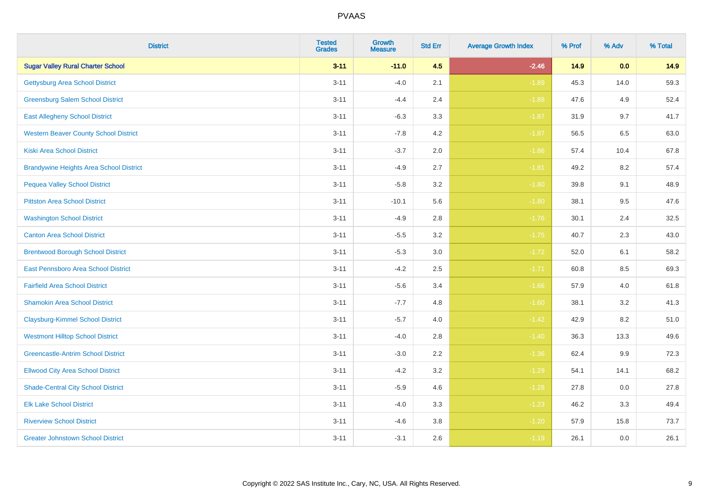| <b>District</b>                                | <b>Tested</b><br><b>Grades</b> | <b>Growth</b><br><b>Measure</b> | <b>Std Err</b> | <b>Average Growth Index</b> | % Prof | % Adv   | % Total |
|------------------------------------------------|--------------------------------|---------------------------------|----------------|-----------------------------|--------|---------|---------|
| <b>Sugar Valley Rural Charter School</b>       | $3 - 11$                       | $-11.0$                         | 4.5            | $-2.46$                     | 14.9   | 0.0     | 14.9    |
| <b>Gettysburg Area School District</b>         | $3 - 11$                       | $-4.0$                          | 2.1            | $-1.89$                     | 45.3   | 14.0    | 59.3    |
| <b>Greensburg Salem School District</b>        | $3 - 11$                       | $-4.4$                          | 2.4            | $-1.88$                     | 47.6   | 4.9     | 52.4    |
| <b>East Allegheny School District</b>          | $3 - 11$                       | $-6.3$                          | 3.3            | $-1.87$                     | 31.9   | 9.7     | 41.7    |
| <b>Western Beaver County School District</b>   | $3 - 11$                       | $-7.8$                          | 4.2            | $-1.87$                     | 56.5   | 6.5     | 63.0    |
| <b>Kiski Area School District</b>              | $3 - 11$                       | $-3.7$                          | 2.0            | $-1.86$                     | 57.4   | 10.4    | 67.8    |
| <b>Brandywine Heights Area School District</b> | $3 - 11$                       | $-4.9$                          | 2.7            | $-1.81$                     | 49.2   | 8.2     | 57.4    |
| <b>Pequea Valley School District</b>           | $3 - 11$                       | $-5.8$                          | 3.2            | $-1.80$                     | 39.8   | 9.1     | 48.9    |
| <b>Pittston Area School District</b>           | $3 - 11$                       | $-10.1$                         | 5.6            | $-1.80$                     | 38.1   | 9.5     | 47.6    |
| <b>Washington School District</b>              | $3 - 11$                       | $-4.9$                          | 2.8            | $-1.76$                     | 30.1   | 2.4     | 32.5    |
| <b>Canton Area School District</b>             | $3 - 11$                       | $-5.5$                          | 3.2            | $-1.75$                     | 40.7   | 2.3     | 43.0    |
| <b>Brentwood Borough School District</b>       | $3 - 11$                       | $-5.3$                          | 3.0            | $-1.72$                     | 52.0   | 6.1     | 58.2    |
| East Pennsboro Area School District            | $3 - 11$                       | $-4.2$                          | 2.5            | $-1.71$                     | 60.8   | $8.5\,$ | 69.3    |
| <b>Fairfield Area School District</b>          | $3 - 11$                       | $-5.6$                          | 3.4            | $-1.66$                     | 57.9   | 4.0     | 61.8    |
| <b>Shamokin Area School District</b>           | $3 - 11$                       | $-7.7$                          | 4.8            | $-1.60$                     | 38.1   | 3.2     | 41.3    |
| <b>Claysburg-Kimmel School District</b>        | $3 - 11$                       | $-5.7$                          | 4.0            | $-1.42$                     | 42.9   | 8.2     | 51.0    |
| <b>Westmont Hilltop School District</b>        | $3 - 11$                       | $-4.0$                          | 2.8            | $-1.40$                     | 36.3   | 13.3    | 49.6    |
| <b>Greencastle-Antrim School District</b>      | $3 - 11$                       | $-3.0$                          | 2.2            | $-1.36$                     | 62.4   | 9.9     | 72.3    |
| <b>Ellwood City Area School District</b>       | $3 - 11$                       | $-4.2$                          | 3.2            | $-1.29$                     | 54.1   | 14.1    | 68.2    |
| <b>Shade-Central City School District</b>      | $3 - 11$                       | $-5.9$                          | 4.6            | $-1.28$                     | 27.8   | 0.0     | 27.8    |
| <b>Elk Lake School District</b>                | $3 - 11$                       | $-4.0$                          | 3.3            | $-1.23$                     | 46.2   | 3.3     | 49.4    |
| <b>Riverview School District</b>               | $3 - 11$                       | $-4.6$                          | 3.8            | $-1.20$                     | 57.9   | 15.8    | 73.7    |
| <b>Greater Johnstown School District</b>       | $3 - 11$                       | $-3.1$                          | 2.6            | $-1.19$                     | 26.1   | 0.0     | 26.1    |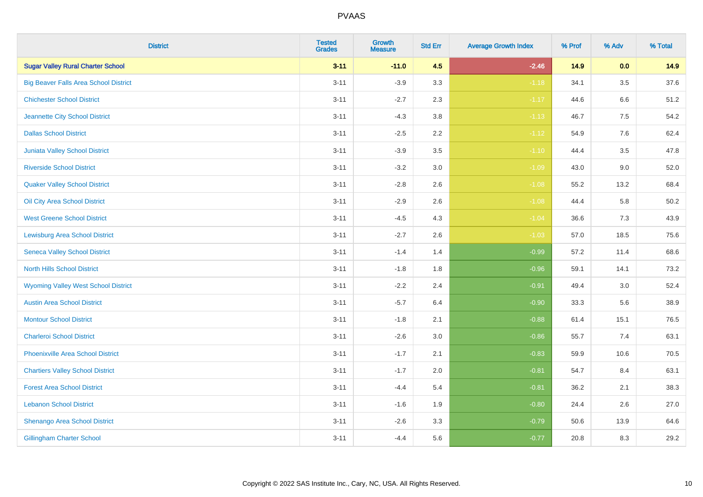| <b>District</b>                              | <b>Tested</b><br><b>Grades</b> | Growth<br><b>Measure</b> | <b>Std Err</b> | <b>Average Growth Index</b> | % Prof | % Adv   | % Total  |
|----------------------------------------------|--------------------------------|--------------------------|----------------|-----------------------------|--------|---------|----------|
| <b>Sugar Valley Rural Charter School</b>     | $3 - 11$                       | $-11.0$                  | 4.5            | $-2.46$                     | 14.9   | 0.0     | 14.9     |
| <b>Big Beaver Falls Area School District</b> | $3 - 11$                       | $-3.9$                   | 3.3            | $-1.18$                     | 34.1   | $3.5\,$ | 37.6     |
| <b>Chichester School District</b>            | $3 - 11$                       | $-2.7$                   | 2.3            | $-1.17$                     | 44.6   | 6.6     | 51.2     |
| Jeannette City School District               | $3 - 11$                       | $-4.3$                   | $3.8\,$        | $-1.13$                     | 46.7   | $7.5\,$ | 54.2     |
| <b>Dallas School District</b>                | $3 - 11$                       | $-2.5$                   | 2.2            | $-1.12$                     | 54.9   | 7.6     | 62.4     |
| <b>Juniata Valley School District</b>        | $3 - 11$                       | $-3.9$                   | 3.5            | $-1.10$                     | 44.4   | 3.5     | 47.8     |
| <b>Riverside School District</b>             | $3 - 11$                       | $-3.2$                   | 3.0            | $-1.09$                     | 43.0   | 9.0     | 52.0     |
| <b>Quaker Valley School District</b>         | $3 - 11$                       | $-2.8$                   | 2.6            | $-1.08$                     | 55.2   | 13.2    | 68.4     |
| Oil City Area School District                | $3 - 11$                       | $-2.9$                   | 2.6            | $-1.08$                     | 44.4   | 5.8     | $50.2\,$ |
| <b>West Greene School District</b>           | $3 - 11$                       | $-4.5$                   | 4.3            | $-1.04$                     | 36.6   | 7.3     | 43.9     |
| <b>Lewisburg Area School District</b>        | $3 - 11$                       | $-2.7$                   | 2.6            | $-1.03$                     | 57.0   | 18.5    | 75.6     |
| <b>Seneca Valley School District</b>         | $3 - 11$                       | $-1.4$                   | 1.4            | $-0.99$                     | 57.2   | 11.4    | 68.6     |
| <b>North Hills School District</b>           | $3 - 11$                       | $-1.8$                   | 1.8            | $-0.96$                     | 59.1   | 14.1    | 73.2     |
| <b>Wyoming Valley West School District</b>   | $3 - 11$                       | $-2.2$                   | 2.4            | $-0.91$                     | 49.4   | 3.0     | 52.4     |
| <b>Austin Area School District</b>           | $3 - 11$                       | $-5.7$                   | 6.4            | $-0.90$                     | 33.3   | 5.6     | 38.9     |
| <b>Montour School District</b>               | $3 - 11$                       | $-1.8$                   | 2.1            | $-0.88$                     | 61.4   | 15.1    | 76.5     |
| <b>Charleroi School District</b>             | $3 - 11$                       | $-2.6$                   | 3.0            | $-0.86$                     | 55.7   | 7.4     | 63.1     |
| <b>Phoenixville Area School District</b>     | $3 - 11$                       | $-1.7$                   | 2.1            | $-0.83$                     | 59.9   | 10.6    | 70.5     |
| <b>Chartiers Valley School District</b>      | $3 - 11$                       | $-1.7$                   | 2.0            | $-0.81$                     | 54.7   | 8.4     | 63.1     |
| <b>Forest Area School District</b>           | $3 - 11$                       | $-4.4$                   | 5.4            | $-0.81$                     | 36.2   | 2.1     | 38.3     |
| <b>Lebanon School District</b>               | $3 - 11$                       | $-1.6$                   | 1.9            | $-0.80$                     | 24.4   | 2.6     | 27.0     |
| Shenango Area School District                | $3 - 11$                       | $-2.6$                   | 3.3            | $-0.79$                     | 50.6   | 13.9    | 64.6     |
| <b>Gillingham Charter School</b>             | $3 - 11$                       | $-4.4$                   | 5.6            | $-0.77$                     | 20.8   | 8.3     | 29.2     |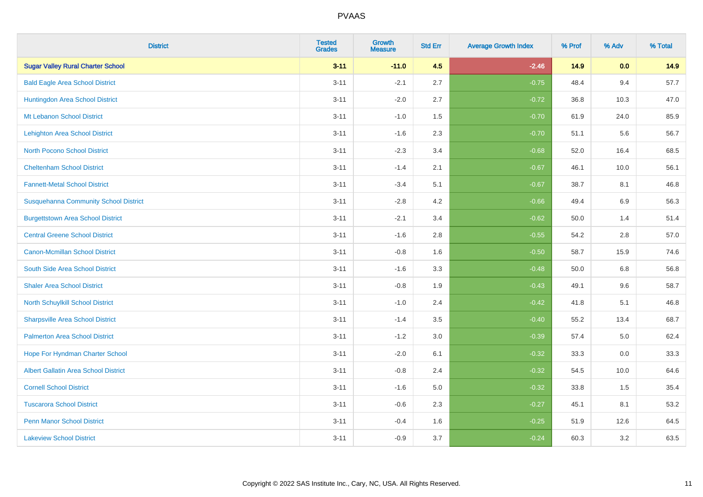| <b>District</b>                              | <b>Tested</b><br><b>Grades</b> | <b>Growth</b><br><b>Measure</b> | <b>Std Err</b> | <b>Average Growth Index</b> | % Prof | % Adv   | % Total |
|----------------------------------------------|--------------------------------|---------------------------------|----------------|-----------------------------|--------|---------|---------|
| <b>Sugar Valley Rural Charter School</b>     | $3 - 11$                       | $-11.0$                         | 4.5            | $-2.46$                     | 14.9   | 0.0     | 14.9    |
| <b>Bald Eagle Area School District</b>       | $3 - 11$                       | $-2.1$                          | 2.7            | $-0.75$                     | 48.4   | 9.4     | 57.7    |
| Huntingdon Area School District              | $3 - 11$                       | $-2.0$                          | 2.7            | $-0.72$                     | 36.8   | 10.3    | 47.0    |
| Mt Lebanon School District                   | $3 - 11$                       | $-1.0$                          | 1.5            | $-0.70$                     | 61.9   | 24.0    | 85.9    |
| <b>Lehighton Area School District</b>        | $3 - 11$                       | $-1.6$                          | 2.3            | $-0.70$                     | 51.1   | 5.6     | 56.7    |
| <b>North Pocono School District</b>          | $3 - 11$                       | $-2.3$                          | 3.4            | $-0.68$                     | 52.0   | 16.4    | 68.5    |
| <b>Cheltenham School District</b>            | $3 - 11$                       | $-1.4$                          | 2.1            | $-0.67$                     | 46.1   | 10.0    | 56.1    |
| <b>Fannett-Metal School District</b>         | $3 - 11$                       | $-3.4$                          | 5.1            | $-0.67$                     | 38.7   | 8.1     | 46.8    |
| <b>Susquehanna Community School District</b> | $3 - 11$                       | $-2.8$                          | 4.2            | $-0.66$                     | 49.4   | 6.9     | 56.3    |
| <b>Burgettstown Area School District</b>     | $3 - 11$                       | $-2.1$                          | 3.4            | $-0.62$                     | 50.0   | 1.4     | 51.4    |
| <b>Central Greene School District</b>        | $3 - 11$                       | $-1.6$                          | 2.8            | $-0.55$                     | 54.2   | 2.8     | 57.0    |
| <b>Canon-Mcmillan School District</b>        | $3 - 11$                       | $-0.8$                          | 1.6            | $-0.50$                     | 58.7   | 15.9    | 74.6    |
| South Side Area School District              | $3 - 11$                       | $-1.6$                          | 3.3            | $-0.48$                     | 50.0   | $6.8\,$ | 56.8    |
| <b>Shaler Area School District</b>           | $3 - 11$                       | $-0.8$                          | 1.9            | $-0.43$                     | 49.1   | 9.6     | 58.7    |
| North Schuylkill School District             | $3 - 11$                       | $-1.0$                          | 2.4            | $-0.42$                     | 41.8   | 5.1     | 46.8    |
| <b>Sharpsville Area School District</b>      | $3 - 11$                       | $-1.4$                          | 3.5            | $-0.40$                     | 55.2   | 13.4    | 68.7    |
| <b>Palmerton Area School District</b>        | $3 - 11$                       | $-1.2$                          | 3.0            | $-0.39$                     | 57.4   | $5.0\,$ | 62.4    |
| Hope For Hyndman Charter School              | $3 - 11$                       | $-2.0$                          | 6.1            | $-0.32$                     | 33.3   | 0.0     | 33.3    |
| <b>Albert Gallatin Area School District</b>  | $3 - 11$                       | $-0.8$                          | 2.4            | $-0.32$                     | 54.5   | 10.0    | 64.6    |
| <b>Cornell School District</b>               | $3 - 11$                       | $-1.6$                          | 5.0            | $-0.32$                     | 33.8   | 1.5     | 35.4    |
| <b>Tuscarora School District</b>             | $3 - 11$                       | $-0.6$                          | 2.3            | $-0.27$                     | 45.1   | 8.1     | 53.2    |
| <b>Penn Manor School District</b>            | $3 - 11$                       | $-0.4$                          | 1.6            | $-0.25$                     | 51.9   | 12.6    | 64.5    |
| <b>Lakeview School District</b>              | $3 - 11$                       | $-0.9$                          | 3.7            | $-0.24$                     | 60.3   | 3.2     | 63.5    |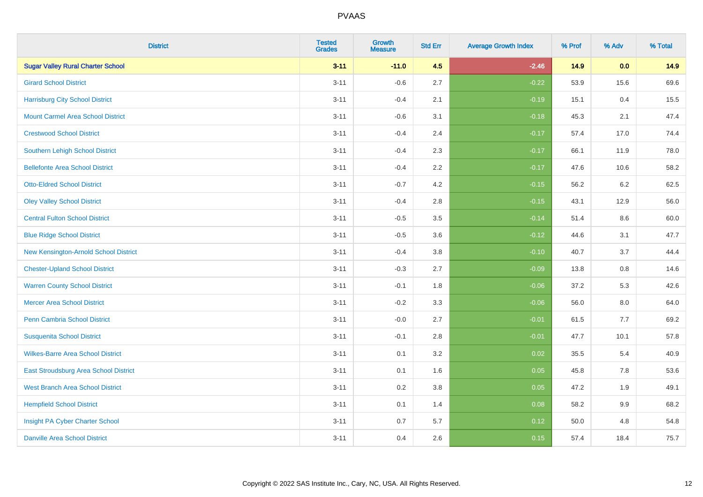| <b>District</b>                          | <b>Tested</b><br><b>Grades</b> | <b>Growth</b><br><b>Measure</b> | <b>Std Err</b> | <b>Average Growth Index</b> | % Prof | % Adv   | % Total |
|------------------------------------------|--------------------------------|---------------------------------|----------------|-----------------------------|--------|---------|---------|
| <b>Sugar Valley Rural Charter School</b> | $3 - 11$                       | $-11.0$                         | 4.5            | $-2.46$                     | 14.9   | 0.0     | 14.9    |
| <b>Girard School District</b>            | $3 - 11$                       | $-0.6$                          | 2.7            | $-0.22$                     | 53.9   | 15.6    | 69.6    |
| <b>Harrisburg City School District</b>   | $3 - 11$                       | $-0.4$                          | 2.1            | $-0.19$                     | 15.1   | 0.4     | 15.5    |
| <b>Mount Carmel Area School District</b> | $3 - 11$                       | $-0.6$                          | 3.1            | $-0.18$                     | 45.3   | 2.1     | 47.4    |
| <b>Crestwood School District</b>         | $3 - 11$                       | $-0.4$                          | 2.4            | $-0.17$                     | 57.4   | 17.0    | 74.4    |
| <b>Southern Lehigh School District</b>   | $3 - 11$                       | $-0.4$                          | 2.3            | $-0.17$                     | 66.1   | 11.9    | 78.0    |
| <b>Bellefonte Area School District</b>   | $3 - 11$                       | $-0.4$                          | 2.2            | $-0.17$                     | 47.6   | 10.6    | 58.2    |
| <b>Otto-Eldred School District</b>       | $3 - 11$                       | $-0.7$                          | 4.2            | $-0.15$                     | 56.2   | 6.2     | 62.5    |
| <b>Oley Valley School District</b>       | $3 - 11$                       | $-0.4$                          | 2.8            | $-0.15$                     | 43.1   | 12.9    | 56.0    |
| <b>Central Fulton School District</b>    | $3 - 11$                       | $-0.5$                          | 3.5            | $-0.14$                     | 51.4   | 8.6     | 60.0    |
| <b>Blue Ridge School District</b>        | $3 - 11$                       | $-0.5$                          | 3.6            | $-0.12$                     | 44.6   | 3.1     | 47.7    |
| New Kensington-Arnold School District    | $3 - 11$                       | $-0.4$                          | 3.8            | $-0.10$                     | 40.7   | 3.7     | 44.4    |
| <b>Chester-Upland School District</b>    | $3 - 11$                       | $-0.3$                          | 2.7            | $-0.09$                     | 13.8   | $0.8\,$ | 14.6    |
| <b>Warren County School District</b>     | $3 - 11$                       | $-0.1$                          | 1.8            | $-0.06$                     | 37.2   | 5.3     | 42.6    |
| <b>Mercer Area School District</b>       | $3 - 11$                       | $-0.2$                          | 3.3            | $-0.06$                     | 56.0   | $8.0\,$ | 64.0    |
| Penn Cambria School District             | $3 - 11$                       | $-0.0$                          | 2.7            | $-0.01$                     | 61.5   | 7.7     | 69.2    |
| <b>Susquenita School District</b>        | $3 - 11$                       | $-0.1$                          | 2.8            | $-0.01$                     | 47.7   | 10.1    | 57.8    |
| <b>Wilkes-Barre Area School District</b> | $3 - 11$                       | 0.1                             | 3.2            | 0.02                        | 35.5   | 5.4     | 40.9    |
| East Stroudsburg Area School District    | $3 - 11$                       | 0.1                             | 1.6            | 0.05                        | 45.8   | 7.8     | 53.6    |
| <b>West Branch Area School District</b>  | $3 - 11$                       | 0.2                             | 3.8            | 0.05                        | 47.2   | 1.9     | 49.1    |
| <b>Hempfield School District</b>         | $3 - 11$                       | 0.1                             | 1.4            | 0.08                        | 58.2   | 9.9     | 68.2    |
| Insight PA Cyber Charter School          | $3 - 11$                       | 0.7                             | 5.7            | 0.12                        | 50.0   | 4.8     | 54.8    |
| <b>Danville Area School District</b>     | $3 - 11$                       | 0.4                             | 2.6            | 0.15                        | 57.4   | 18.4    | 75.7    |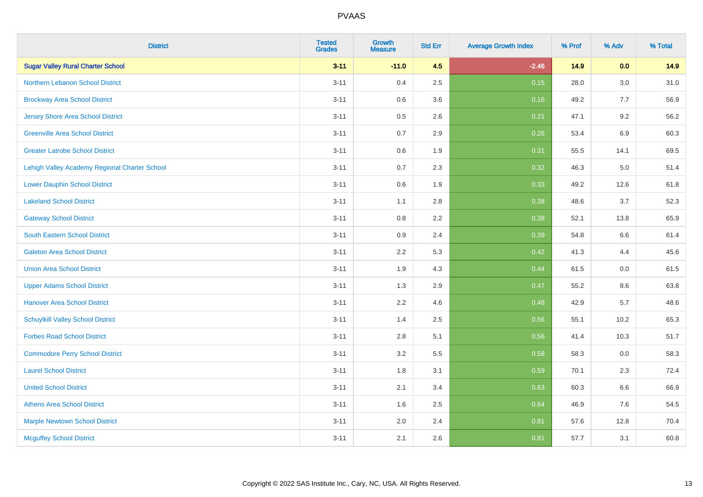| <b>District</b>                               | <b>Tested</b><br><b>Grades</b> | <b>Growth</b><br><b>Measure</b> | <b>Std Err</b> | <b>Average Growth Index</b> | % Prof | % Adv   | % Total |
|-----------------------------------------------|--------------------------------|---------------------------------|----------------|-----------------------------|--------|---------|---------|
| <b>Sugar Valley Rural Charter School</b>      | $3 - 11$                       | $-11.0$                         | 4.5            | $-2.46$                     | 14.9   | 0.0     | 14.9    |
| Northern Lebanon School District              | $3 - 11$                       | 0.4                             | 2.5            | 0.15                        | 28.0   | $3.0\,$ | 31.0    |
| <b>Brockway Area School District</b>          | $3 - 11$                       | 0.6                             | 3.6            | 0.16                        | 49.2   | 7.7     | 56.9    |
| <b>Jersey Shore Area School District</b>      | $3 - 11$                       | 0.5                             | 2.6            | 0.21                        | 47.1   | 9.2     | 56.2    |
| <b>Greenville Area School District</b>        | $3 - 11$                       | 0.7                             | 2.9            | 0.26                        | 53.4   | 6.9     | 60.3    |
| <b>Greater Latrobe School District</b>        | $3 - 11$                       | 0.6                             | 1.9            | 0.31                        | 55.5   | 14.1    | 69.5    |
| Lehigh Valley Academy Regional Charter School | $3 - 11$                       | 0.7                             | 2.3            | 0.32                        | 46.3   | 5.0     | 51.4    |
| <b>Lower Dauphin School District</b>          | $3 - 11$                       | $0.6\,$                         | 1.9            | 0.33                        | 49.2   | 12.6    | 61.8    |
| <b>Lakeland School District</b>               | $3 - 11$                       | 1.1                             | 2.8            | 0.38                        | 48.6   | 3.7     | 52.3    |
| <b>Gateway School District</b>                | $3 - 11$                       | 0.8                             | 2.2            | 0.38                        | 52.1   | 13.8    | 65.9    |
| <b>South Eastern School District</b>          | $3 - 11$                       | 0.9                             | 2.4            | 0.39                        | 54.8   | 6.6     | 61.4    |
| <b>Galeton Area School District</b>           | $3 - 11$                       | 2.2                             | 5.3            | 0.42                        | 41.3   | 4.4     | 45.6    |
| <b>Union Area School District</b>             | $3 - 11$                       | 1.9                             | 4.3            | 0.44                        | 61.5   | 0.0     | 61.5    |
| <b>Upper Adams School District</b>            | $3 - 11$                       | 1.3                             | 2.9            | 0.47                        | 55.2   | 8.6     | 63.8    |
| <b>Hanover Area School District</b>           | $3 - 11$                       | 2.2                             | 4.6            | 0.48                        | 42.9   | 5.7     | 48.6    |
| <b>Schuylkill Valley School District</b>      | $3 - 11$                       | 1.4                             | 2.5            | 0.56                        | 55.1   | 10.2    | 65.3    |
| <b>Forbes Road School District</b>            | $3 - 11$                       | 2.8                             | 5.1            | 0.56                        | 41.4   | 10.3    | 51.7    |
| <b>Commodore Perry School District</b>        | $3 - 11$                       | 3.2                             | 5.5            | 0.58                        | 58.3   | 0.0     | 58.3    |
| <b>Laurel School District</b>                 | $3 - 11$                       | 1.8                             | 3.1            | 0.59                        | 70.1   | 2.3     | 72.4    |
| <b>United School District</b>                 | $3 - 11$                       | 2.1                             | 3.4            | 0.63                        | 60.3   | 6.6     | 66.9    |
| <b>Athens Area School District</b>            | $3 - 11$                       | 1.6                             | 2.5            | 0.64                        | 46.9   | 7.6     | 54.5    |
| <b>Marple Newtown School District</b>         | $3 - 11$                       | 2.0                             | 2.4            | 0.81                        | 57.6   | 12.8    | 70.4    |
| <b>Mcguffey School District</b>               | $3 - 11$                       | 2.1                             | 2.6            | 0.81                        | 57.7   | 3.1     | 60.8    |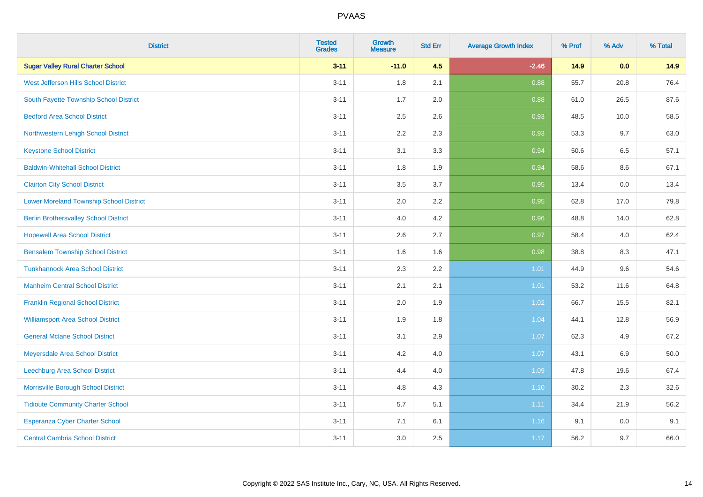| <b>District</b>                                | <b>Tested</b><br><b>Grades</b> | <b>Growth</b><br><b>Measure</b> | <b>Std Err</b> | <b>Average Growth Index</b> | % Prof | % Adv   | % Total |
|------------------------------------------------|--------------------------------|---------------------------------|----------------|-----------------------------|--------|---------|---------|
| <b>Sugar Valley Rural Charter School</b>       | $3 - 11$                       | $-11.0$                         | 4.5            | $-2.46$                     | 14.9   | 0.0     | 14.9    |
| West Jefferson Hills School District           | $3 - 11$                       | 1.8                             | 2.1            | 0.88                        | 55.7   | 20.8    | 76.4    |
| South Fayette Township School District         | $3 - 11$                       | 1.7                             | 2.0            | 0.88                        | 61.0   | 26.5    | 87.6    |
| <b>Bedford Area School District</b>            | $3 - 11$                       | 2.5                             | 2.6            | 0.93                        | 48.5   | 10.0    | 58.5    |
| Northwestern Lehigh School District            | $3 - 11$                       | 2.2                             | 2.3            | 0.93                        | 53.3   | 9.7     | 63.0    |
| <b>Keystone School District</b>                | $3 - 11$                       | 3.1                             | 3.3            | 0.94                        | 50.6   | 6.5     | 57.1    |
| <b>Baldwin-Whitehall School District</b>       | $3 - 11$                       | 1.8                             | 1.9            | 0.94                        | 58.6   | $8.6\,$ | 67.1    |
| <b>Clairton City School District</b>           | $3 - 11$                       | 3.5                             | 3.7            | 0.95                        | 13.4   | 0.0     | 13.4    |
| <b>Lower Moreland Township School District</b> | $3 - 11$                       | 2.0                             | 2.2            | 0.95                        | 62.8   | 17.0    | 79.8    |
| <b>Berlin Brothersvalley School District</b>   | $3 - 11$                       | 4.0                             | 4.2            | 0.96                        | 48.8   | 14.0    | 62.8    |
| <b>Hopewell Area School District</b>           | $3 - 11$                       | 2.6                             | 2.7            | 0.97                        | 58.4   | 4.0     | 62.4    |
| <b>Bensalem Township School District</b>       | $3 - 11$                       | 1.6                             | 1.6            | 0.98                        | 38.8   | 8.3     | 47.1    |
| <b>Tunkhannock Area School District</b>        | $3 - 11$                       | 2.3                             | 2.2            | 1.01                        | 44.9   | 9.6     | 54.6    |
| <b>Manheim Central School District</b>         | $3 - 11$                       | 2.1                             | 2.1            | 1.01                        | 53.2   | 11.6    | 64.8    |
| <b>Franklin Regional School District</b>       | $3 - 11$                       | 2.0                             | 1.9            | 1.02                        | 66.7   | 15.5    | 82.1    |
| <b>Williamsport Area School District</b>       | $3 - 11$                       | 1.9                             | 1.8            | 1.04                        | 44.1   | 12.8    | 56.9    |
| <b>General Mclane School District</b>          | $3 - 11$                       | 3.1                             | 2.9            | 1.07                        | 62.3   | 4.9     | 67.2    |
| Meyersdale Area School District                | $3 - 11$                       | 4.2                             | 4.0            | 1.07                        | 43.1   | $6.9\,$ | 50.0    |
| <b>Leechburg Area School District</b>          | $3 - 11$                       | 4.4                             | 4.0            | 1.09                        | 47.8   | 19.6    | 67.4    |
| Morrisville Borough School District            | $3 - 11$                       | 4.8                             | 4.3            | 1.10                        | 30.2   | 2.3     | 32.6    |
| <b>Tidioute Community Charter School</b>       | $3 - 11$                       | 5.7                             | 5.1            | 1.11                        | 34.4   | 21.9    | 56.2    |
| Esperanza Cyber Charter School                 | $3 - 11$                       | 7.1                             | 6.1            | 1.16                        | 9.1    | 0.0     | 9.1     |
| <b>Central Cambria School District</b>         | $3 - 11$                       | 3.0                             | 2.5            | 1.17                        | 56.2   | 9.7     | 66.0    |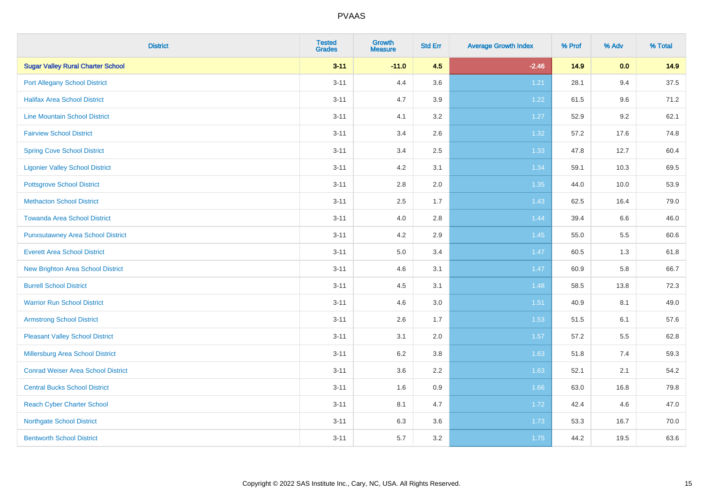| <b>District</b>                           | <b>Tested</b><br><b>Grades</b> | Growth<br><b>Measure</b> | <b>Std Err</b> | <b>Average Growth Index</b> | % Prof | % Adv   | % Total |
|-------------------------------------------|--------------------------------|--------------------------|----------------|-----------------------------|--------|---------|---------|
| <b>Sugar Valley Rural Charter School</b>  | $3 - 11$                       | $-11.0$                  | 4.5            | $-2.46$                     | 14.9   | 0.0     | 14.9    |
| <b>Port Allegany School District</b>      | $3 - 11$                       | 4.4                      | 3.6            | 1.21                        | 28.1   | 9.4     | 37.5    |
| <b>Halifax Area School District</b>       | $3 - 11$                       | 4.7                      | 3.9            | 1.22                        | 61.5   | 9.6     | 71.2    |
| <b>Line Mountain School District</b>      | $3 - 11$                       | 4.1                      | $3.2\,$        | 1.27                        | 52.9   | $9.2\,$ | 62.1    |
| <b>Fairview School District</b>           | $3 - 11$                       | 3.4                      | 2.6            | 1.32                        | 57.2   | 17.6    | 74.8    |
| <b>Spring Cove School District</b>        | $3 - 11$                       | 3.4                      | 2.5            | 1.33                        | 47.8   | 12.7    | 60.4    |
| <b>Ligonier Valley School District</b>    | $3 - 11$                       | 4.2                      | 3.1            | 1.34                        | 59.1   | 10.3    | 69.5    |
| <b>Pottsgrove School District</b>         | $3 - 11$                       | 2.8                      | 2.0            | 1.35                        | 44.0   | 10.0    | 53.9    |
| <b>Methacton School District</b>          | $3 - 11$                       | 2.5                      | 1.7            | 1.43                        | 62.5   | 16.4    | 79.0    |
| <b>Towanda Area School District</b>       | $3 - 11$                       | 4.0                      | $2.8\,$        | 1.44                        | 39.4   | 6.6     | 46.0    |
| <b>Punxsutawney Area School District</b>  | $3 - 11$                       | 4.2                      | 2.9            | 1.45                        | 55.0   | 5.5     | 60.6    |
| <b>Everett Area School District</b>       | $3 - 11$                       | 5.0                      | 3.4            | 1.47                        | 60.5   | 1.3     | 61.8    |
| <b>New Brighton Area School District</b>  | $3 - 11$                       | 4.6                      | 3.1            | 1.47                        | 60.9   | 5.8     | 66.7    |
| <b>Burrell School District</b>            | $3 - 11$                       | 4.5                      | 3.1            | 1.48                        | 58.5   | 13.8    | 72.3    |
| <b>Warrior Run School District</b>        | $3 - 11$                       | 4.6                      | $3.0\,$        | 1.51                        | 40.9   | 8.1     | 49.0    |
| <b>Armstrong School District</b>          | $3 - 11$                       | 2.6                      | 1.7            | 1.53                        | 51.5   | 6.1     | 57.6    |
| <b>Pleasant Valley School District</b>    | $3 - 11$                       | 3.1                      | 2.0            | 1.57                        | 57.2   | 5.5     | 62.8    |
| Millersburg Area School District          | $3 - 11$                       | 6.2                      | 3.8            | 1.63                        | 51.8   | 7.4     | 59.3    |
| <b>Conrad Weiser Area School District</b> | $3 - 11$                       | 3.6                      | 2.2            | 1.63                        | 52.1   | 2.1     | 54.2    |
| <b>Central Bucks School District</b>      | $3 - 11$                       | 1.6                      | 0.9            | 1.66                        | 63.0   | 16.8    | 79.8    |
| <b>Reach Cyber Charter School</b>         | $3 - 11$                       | 8.1                      | 4.7            | 1.72                        | 42.4   | 4.6     | 47.0    |
| <b>Northgate School District</b>          | $3 - 11$                       | 6.3                      | 3.6            | 1.73                        | 53.3   | 16.7    | 70.0    |
| <b>Bentworth School District</b>          | $3 - 11$                       | 5.7                      | 3.2            | 1.75                        | 44.2   | 19.5    | 63.6    |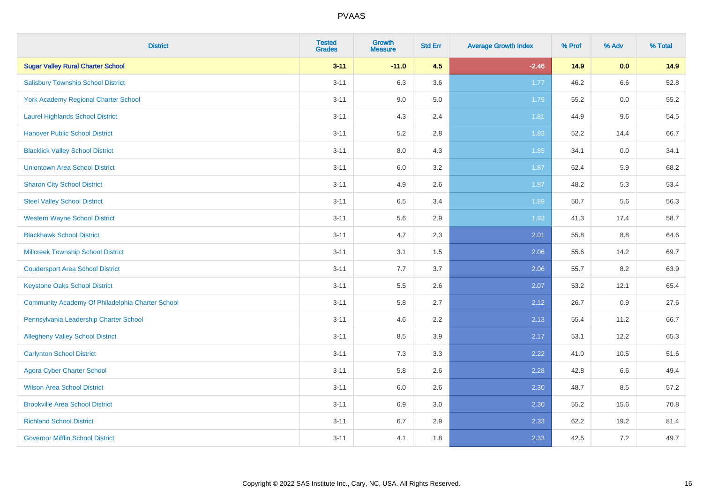| <b>District</b>                                  | <b>Tested</b><br><b>Grades</b> | <b>Growth</b><br><b>Measure</b> | <b>Std Err</b> | <b>Average Growth Index</b> | % Prof | % Adv | % Total |
|--------------------------------------------------|--------------------------------|---------------------------------|----------------|-----------------------------|--------|-------|---------|
| <b>Sugar Valley Rural Charter School</b>         | $3 - 11$                       | $-11.0$                         | 4.5            | $-2.46$                     | 14.9   | 0.0   | 14.9    |
| <b>Salisbury Township School District</b>        | $3 - 11$                       | 6.3                             | 3.6            | 1.77                        | 46.2   | 6.6   | 52.8    |
| York Academy Regional Charter School             | $3 - 11$                       | 9.0                             | 5.0            | 1.79                        | 55.2   | 0.0   | 55.2    |
| <b>Laurel Highlands School District</b>          | $3 - 11$                       | 4.3                             | 2.4            | 1.81                        | 44.9   | 9.6   | 54.5    |
| <b>Hanover Public School District</b>            | $3 - 11$                       | 5.2                             | 2.8            | 1.83                        | 52.2   | 14.4  | 66.7    |
| <b>Blacklick Valley School District</b>          | $3 - 11$                       | $8.0\,$                         | 4.3            | 1.85                        | 34.1   | 0.0   | 34.1    |
| <b>Uniontown Area School District</b>            | $3 - 11$                       | $6.0\,$                         | 3.2            | 1.87                        | 62.4   | 5.9   | 68.2    |
| <b>Sharon City School District</b>               | $3 - 11$                       | 4.9                             | 2.6            | 1.87                        | 48.2   | 5.3   | 53.4    |
| <b>Steel Valley School District</b>              | $3 - 11$                       | 6.5                             | 3.4            | 1.89                        | 50.7   | 5.6   | 56.3    |
| <b>Western Wayne School District</b>             | $3 - 11$                       | $5.6\,$                         | 2.9            | 1.93                        | 41.3   | 17.4  | 58.7    |
| <b>Blackhawk School District</b>                 | $3 - 11$                       | 4.7                             | 2.3            | 2.01                        | 55.8   | 8.8   | 64.6    |
| <b>Millcreek Township School District</b>        | $3 - 11$                       | 3.1                             | 1.5            | 2.06                        | 55.6   | 14.2  | 69.7    |
| <b>Coudersport Area School District</b>          | $3 - 11$                       | 7.7                             | 3.7            | 2.06                        | 55.7   | 8.2   | 63.9    |
| <b>Keystone Oaks School District</b>             | $3 - 11$                       | $5.5\,$                         | 2.6            | 2.07                        | 53.2   | 12.1  | 65.4    |
| Community Academy Of Philadelphia Charter School | $3 - 11$                       | 5.8                             | 2.7            | 2.12                        | 26.7   | 0.9   | 27.6    |
| Pennsylvania Leadership Charter School           | $3 - 11$                       | 4.6                             | 2.2            | 2.13                        | 55.4   | 11.2  | 66.7    |
| <b>Allegheny Valley School District</b>          | $3 - 11$                       | 8.5                             | 3.9            | 2.17                        | 53.1   | 12.2  | 65.3    |
| <b>Carlynton School District</b>                 | $3 - 11$                       | 7.3                             | 3.3            | 2.22                        | 41.0   | 10.5  | 51.6    |
| <b>Agora Cyber Charter School</b>                | $3 - 11$                       | 5.8                             | 2.6            | 2.28                        | 42.8   | 6.6   | 49.4    |
| <b>Wilson Area School District</b>               | $3 - 11$                       | 6.0                             | 2.6            | 2.30                        | 48.7   | 8.5   | 57.2    |
| <b>Brookville Area School District</b>           | $3 - 11$                       | 6.9                             | 3.0            | 2.30                        | 55.2   | 15.6  | 70.8    |
| <b>Richland School District</b>                  | $3 - 11$                       | 6.7                             | 2.9            | 2.33                        | 62.2   | 19.2  | 81.4    |
| <b>Governor Mifflin School District</b>          | $3 - 11$                       | 4.1                             | 1.8            | 2.33                        | 42.5   | 7.2   | 49.7    |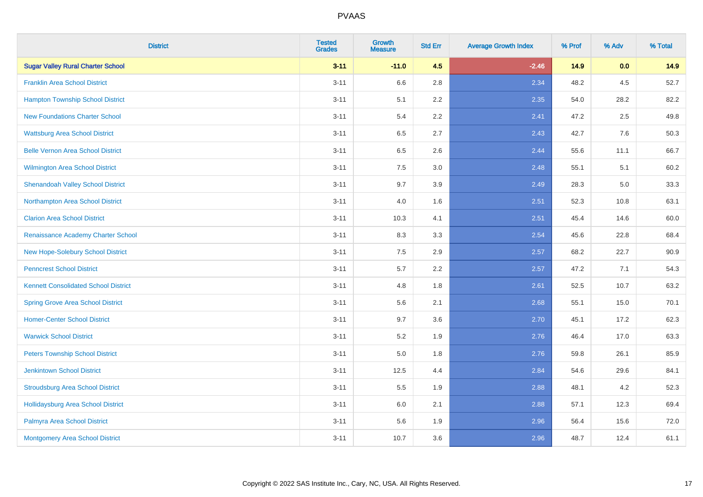| <b>District</b>                             | <b>Tested</b><br><b>Grades</b> | <b>Growth</b><br><b>Measure</b> | <b>Std Err</b> | <b>Average Growth Index</b> | % Prof | % Adv   | % Total |
|---------------------------------------------|--------------------------------|---------------------------------|----------------|-----------------------------|--------|---------|---------|
| <b>Sugar Valley Rural Charter School</b>    | $3 - 11$                       | $-11.0$                         | 4.5            | $-2.46$                     | 14.9   | 0.0     | 14.9    |
| <b>Franklin Area School District</b>        | $3 - 11$                       | 6.6                             | 2.8            | 2.34                        | 48.2   | 4.5     | 52.7    |
| <b>Hampton Township School District</b>     | $3 - 11$                       | 5.1                             | 2.2            | 2.35                        | 54.0   | 28.2    | 82.2    |
| <b>New Foundations Charter School</b>       | $3 - 11$                       | 5.4                             | 2.2            | 2.41                        | 47.2   | $2.5\,$ | 49.8    |
| <b>Wattsburg Area School District</b>       | $3 - 11$                       | 6.5                             | 2.7            | 2.43                        | 42.7   | 7.6     | 50.3    |
| <b>Belle Vernon Area School District</b>    | $3 - 11$                       | 6.5                             | 2.6            | 2.44                        | 55.6   | 11.1    | 66.7    |
| Wilmington Area School District             | $3 - 11$                       | $7.5\,$                         | 3.0            | 2.48                        | 55.1   | 5.1     | 60.2    |
| <b>Shenandoah Valley School District</b>    | $3 - 11$                       | 9.7                             | 3.9            | 2.49                        | 28.3   | 5.0     | 33.3    |
| Northampton Area School District            | $3 - 11$                       | 4.0                             | 1.6            | 2.51                        | 52.3   | 10.8    | 63.1    |
| <b>Clarion Area School District</b>         | $3 - 11$                       | 10.3                            | 4.1            | 2.51                        | 45.4   | 14.6    | 60.0    |
| Renaissance Academy Charter School          | $3 - 11$                       | 8.3                             | 3.3            | 2.54                        | 45.6   | 22.8    | 68.4    |
| New Hope-Solebury School District           | $3 - 11$                       | 7.5                             | 2.9            | 2.57                        | 68.2   | 22.7    | 90.9    |
| <b>Penncrest School District</b>            | $3 - 11$                       | 5.7                             | 2.2            | 2.57                        | 47.2   | 7.1     | 54.3    |
| <b>Kennett Consolidated School District</b> | $3 - 11$                       | 4.8                             | 1.8            | 2.61                        | 52.5   | 10.7    | 63.2    |
| <b>Spring Grove Area School District</b>    | $3 - 11$                       | 5.6                             | 2.1            | 2.68                        | 55.1   | 15.0    | 70.1    |
| <b>Homer-Center School District</b>         | $3 - 11$                       | 9.7                             | 3.6            | 2.70                        | 45.1   | 17.2    | 62.3    |
| <b>Warwick School District</b>              | $3 - 11$                       | 5.2                             | 1.9            | 2.76                        | 46.4   | 17.0    | 63.3    |
| <b>Peters Township School District</b>      | $3 - 11$                       | $5.0\,$                         | 1.8            | 2.76                        | 59.8   | 26.1    | 85.9    |
| <b>Jenkintown School District</b>           | $3 - 11$                       | 12.5                            | 4.4            | 2.84                        | 54.6   | 29.6    | 84.1    |
| <b>Stroudsburg Area School District</b>     | $3 - 11$                       | 5.5                             | 1.9            | 2.88                        | 48.1   | 4.2     | 52.3    |
| <b>Hollidaysburg Area School District</b>   | $3 - 11$                       | $6.0\,$                         | 2.1            | 2.88                        | 57.1   | 12.3    | 69.4    |
| Palmyra Area School District                | $3 - 11$                       | 5.6                             | 1.9            | 2.96                        | 56.4   | 15.6    | 72.0    |
| <b>Montgomery Area School District</b>      | $3 - 11$                       | 10.7                            | 3.6            | 2.96                        | 48.7   | 12.4    | 61.1    |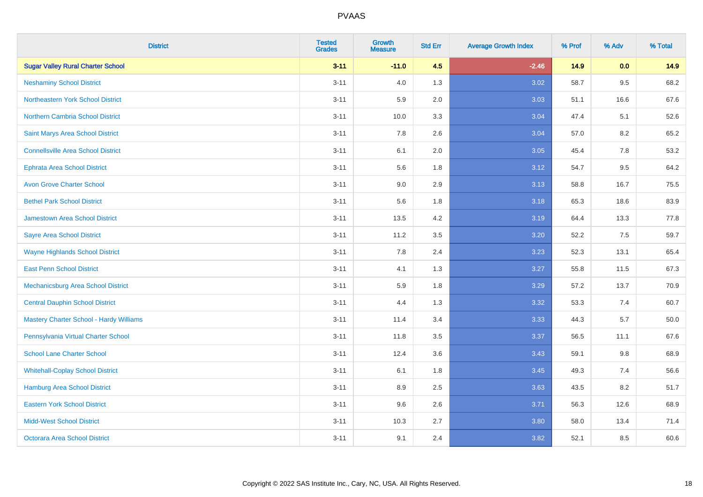| <b>District</b>                                | <b>Tested</b><br><b>Grades</b> | Growth<br><b>Measure</b> | <b>Std Err</b> | <b>Average Growth Index</b> | % Prof | % Adv | % Total |
|------------------------------------------------|--------------------------------|--------------------------|----------------|-----------------------------|--------|-------|---------|
| <b>Sugar Valley Rural Charter School</b>       | $3 - 11$                       | $-11.0$                  | 4.5            | $-2.46$                     | 14.9   | 0.0   | 14.9    |
| <b>Neshaminy School District</b>               | $3 - 11$                       | 4.0                      | 1.3            | 3.02                        | 58.7   | 9.5   | 68.2    |
| Northeastern York School District              | $3 - 11$                       | 5.9                      | 2.0            | 3.03                        | 51.1   | 16.6  | 67.6    |
| Northern Cambria School District               | $3 - 11$                       | 10.0                     | 3.3            | 3.04                        | 47.4   | 5.1   | 52.6    |
| Saint Marys Area School District               | $3 - 11$                       | 7.8                      | 2.6            | 3.04                        | 57.0   | 8.2   | 65.2    |
| <b>Connellsville Area School District</b>      | $3 - 11$                       | 6.1                      | 2.0            | 3.05                        | 45.4   | 7.8   | 53.2    |
| <b>Ephrata Area School District</b>            | $3 - 11$                       | 5.6                      | 1.8            | 3.12                        | 54.7   | 9.5   | 64.2    |
| <b>Avon Grove Charter School</b>               | $3 - 11$                       | 9.0                      | 2.9            | 3.13                        | 58.8   | 16.7  | 75.5    |
| <b>Bethel Park School District</b>             | $3 - 11$                       | 5.6                      | 1.8            | 3.18                        | 65.3   | 18.6  | 83.9    |
| <b>Jamestown Area School District</b>          | $3 - 11$                       | 13.5                     | 4.2            | 3.19                        | 64.4   | 13.3  | 77.8    |
| <b>Sayre Area School District</b>              | $3 - 11$                       | 11.2                     | 3.5            | 3.20                        | 52.2   | 7.5   | 59.7    |
| <b>Wayne Highlands School District</b>         | $3 - 11$                       | 7.8                      | 2.4            | 3.23                        | 52.3   | 13.1  | 65.4    |
| <b>East Penn School District</b>               | $3 - 11$                       | 4.1                      | 1.3            | 3.27                        | 55.8   | 11.5  | 67.3    |
| Mechanicsburg Area School District             | $3 - 11$                       | 5.9                      | 1.8            | 3.29                        | 57.2   | 13.7  | 70.9    |
| <b>Central Dauphin School District</b>         | $3 - 11$                       | 4.4                      | 1.3            | 3.32                        | 53.3   | 7.4   | 60.7    |
| <b>Mastery Charter School - Hardy Williams</b> | $3 - 11$                       | 11.4                     | 3.4            | 3.33                        | 44.3   | 5.7   | 50.0    |
| Pennsylvania Virtual Charter School            | $3 - 11$                       | 11.8                     | 3.5            | 3.37                        | 56.5   | 11.1  | 67.6    |
| <b>School Lane Charter School</b>              | $3 - 11$                       | 12.4                     | 3.6            | 3.43                        | 59.1   | 9.8   | 68.9    |
| <b>Whitehall-Coplay School District</b>        | $3 - 11$                       | 6.1                      | 1.8            | 3.45                        | 49.3   | 7.4   | 56.6    |
| Hamburg Area School District                   | $3 - 11$                       | 8.9                      | 2.5            | 3.63                        | 43.5   | 8.2   | 51.7    |
| <b>Eastern York School District</b>            | $3 - 11$                       | 9.6                      | 2.6            | 3.71                        | 56.3   | 12.6  | 68.9    |
| <b>Midd-West School District</b>               | $3 - 11$                       | 10.3                     | 2.7            | 3.80                        | 58.0   | 13.4  | 71.4    |
| <b>Octorara Area School District</b>           | $3 - 11$                       | 9.1                      | 2.4            | 3.82                        | 52.1   | 8.5   | 60.6    |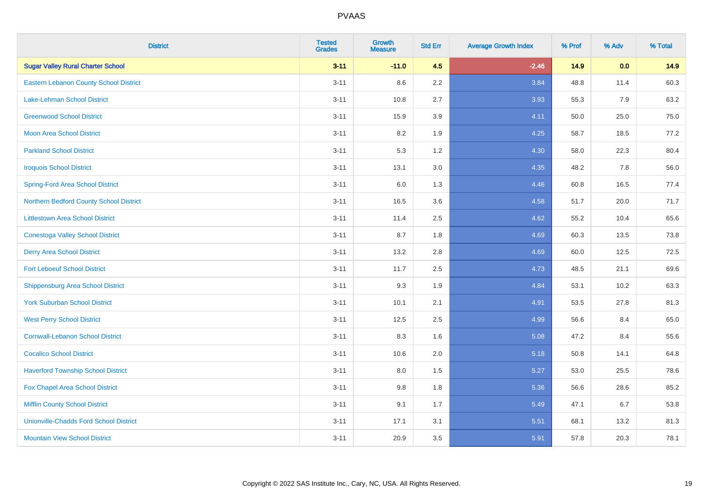| <b>District</b>                               | <b>Tested</b><br><b>Grades</b> | <b>Growth</b><br><b>Measure</b> | <b>Std Err</b> | <b>Average Growth Index</b> | % Prof | % Adv | % Total |
|-----------------------------------------------|--------------------------------|---------------------------------|----------------|-----------------------------|--------|-------|---------|
| <b>Sugar Valley Rural Charter School</b>      | $3 - 11$                       | $-11.0$                         | 4.5            | $-2.46$                     | 14.9   | 0.0   | 14.9    |
| Eastern Lebanon County School District        | $3 - 11$                       | 8.6                             | 2.2            | 3.84                        | 48.8   | 11.4  | 60.3    |
| Lake-Lehman School District                   | $3 - 11$                       | 10.8                            | 2.7            | 3.93                        | 55.3   | 7.9   | 63.2    |
| <b>Greenwood School District</b>              | $3 - 11$                       | 15.9                            | 3.9            | 4.11                        | 50.0   | 25.0  | 75.0    |
| <b>Moon Area School District</b>              | $3 - 11$                       | 8.2                             | 1.9            | 4.25                        | 58.7   | 18.5  | 77.2    |
| <b>Parkland School District</b>               | $3 - 11$                       | 5.3                             | 1.2            | 4.30                        | 58.0   | 22.3  | 80.4    |
| <b>Iroquois School District</b>               | $3 - 11$                       | 13.1                            | 3.0            | 4.35                        | 48.2   | 7.8   | 56.0    |
| <b>Spring-Ford Area School District</b>       | $3 - 11$                       | 6.0                             | 1.3            | 4.46                        | 60.8   | 16.5  | 77.4    |
| Northern Bedford County School District       | $3 - 11$                       | 16.5                            | 3.6            | 4.58                        | 51.7   | 20.0  | 71.7    |
| <b>Littlestown Area School District</b>       | $3 - 11$                       | 11.4                            | 2.5            | 4.62                        | 55.2   | 10.4  | 65.6    |
| <b>Conestoga Valley School District</b>       | $3 - 11$                       | 8.7                             | 1.8            | 4.69                        | 60.3   | 13.5  | 73.8    |
| <b>Derry Area School District</b>             | $3 - 11$                       | 13.2                            | 2.8            | 4.69                        | 60.0   | 12.5  | 72.5    |
| <b>Fort Leboeuf School District</b>           | $3 - 11$                       | 11.7                            | 2.5            | 4.73                        | 48.5   | 21.1  | 69.6    |
| <b>Shippensburg Area School District</b>      | $3 - 11$                       | 9.3                             | 1.9            | 4.84                        | 53.1   | 10.2  | 63.3    |
| <b>York Suburban School District</b>          | $3 - 11$                       | 10.1                            | 2.1            | 4.91                        | 53.5   | 27.8  | 81.3    |
| <b>West Perry School District</b>             | $3 - 11$                       | 12.5                            | 2.5            | 4.99                        | 56.6   | 8.4   | 65.0    |
| <b>Cornwall-Lebanon School District</b>       | $3 - 11$                       | 8.3                             | 1.6            | 5.08                        | 47.2   | 8.4   | 55.6    |
| <b>Cocalico School District</b>               | $3 - 11$                       | 10.6                            | 2.0            | 5.18                        | 50.8   | 14.1  | 64.8    |
| <b>Haverford Township School District</b>     | $3 - 11$                       | 8.0                             | 1.5            | 5.27                        | 53.0   | 25.5  | 78.6    |
| Fox Chapel Area School District               | $3 - 11$                       | 9.8                             | 1.8            | 5.36                        | 56.6   | 28.6  | 85.2    |
| <b>Mifflin County School District</b>         | $3 - 11$                       | 9.1                             | 1.7            | 5.49                        | 47.1   | 6.7   | 53.8    |
| <b>Unionville-Chadds Ford School District</b> | $3 - 11$                       | 17.1                            | 3.1            | 5.51                        | 68.1   | 13.2  | 81.3    |
| <b>Mountain View School District</b>          | $3 - 11$                       | 20.9                            | 3.5            | 5.91                        | 57.8   | 20.3  | 78.1    |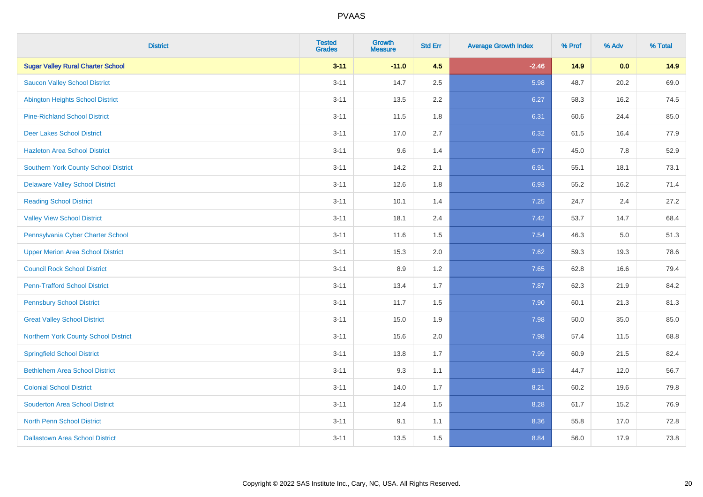| <b>District</b>                             | <b>Tested</b><br><b>Grades</b> | Growth<br><b>Measure</b> | <b>Std Err</b> | <b>Average Growth Index</b> | % Prof | % Adv | % Total |
|---------------------------------------------|--------------------------------|--------------------------|----------------|-----------------------------|--------|-------|---------|
| <b>Sugar Valley Rural Charter School</b>    | $3 - 11$                       | $-11.0$                  | 4.5            | $-2.46$                     | 14.9   | 0.0   | 14.9    |
| <b>Saucon Valley School District</b>        | $3 - 11$                       | 14.7                     | 2.5            | 5.98                        | 48.7   | 20.2  | 69.0    |
| <b>Abington Heights School District</b>     | $3 - 11$                       | 13.5                     | 2.2            | 6.27                        | 58.3   | 16.2  | 74.5    |
| <b>Pine-Richland School District</b>        | $3 - 11$                       | 11.5                     | 1.8            | 6.31                        | 60.6   | 24.4  | 85.0    |
| <b>Deer Lakes School District</b>           | $3 - 11$                       | 17.0                     | 2.7            | 6.32                        | 61.5   | 16.4  | 77.9    |
| <b>Hazleton Area School District</b>        | $3 - 11$                       | 9.6                      | 1.4            | 6.77                        | 45.0   | 7.8   | 52.9    |
| <b>Southern York County School District</b> | $3 - 11$                       | 14.2                     | 2.1            | 6.91                        | 55.1   | 18.1  | 73.1    |
| <b>Delaware Valley School District</b>      | $3 - 11$                       | 12.6                     | 1.8            | 6.93                        | 55.2   | 16.2  | 71.4    |
| <b>Reading School District</b>              | $3 - 11$                       | 10.1                     | 1.4            | 7.25                        | 24.7   | 2.4   | 27.2    |
| <b>Valley View School District</b>          | $3 - 11$                       | 18.1                     | 2.4            | 7.42                        | 53.7   | 14.7  | 68.4    |
| Pennsylvania Cyber Charter School           | $3 - 11$                       | 11.6                     | 1.5            | 7.54                        | 46.3   | 5.0   | 51.3    |
| <b>Upper Merion Area School District</b>    | $3 - 11$                       | 15.3                     | 2.0            | 7.62                        | 59.3   | 19.3  | 78.6    |
| <b>Council Rock School District</b>         | $3 - 11$                       | 8.9                      | 1.2            | 7.65                        | 62.8   | 16.6  | 79.4    |
| <b>Penn-Trafford School District</b>        | $3 - 11$                       | 13.4                     | 1.7            | 7.87                        | 62.3   | 21.9  | 84.2    |
| <b>Pennsbury School District</b>            | $3 - 11$                       | 11.7                     | 1.5            | 7.90                        | 60.1   | 21.3  | 81.3    |
| <b>Great Valley School District</b>         | $3 - 11$                       | 15.0                     | 1.9            | 7.98                        | 50.0   | 35.0  | 85.0    |
| Northern York County School District        | $3 - 11$                       | 15.6                     | 2.0            | 7.98                        | 57.4   | 11.5  | 68.8    |
| <b>Springfield School District</b>          | $3 - 11$                       | 13.8                     | 1.7            | 7.99                        | 60.9   | 21.5  | 82.4    |
| <b>Bethlehem Area School District</b>       | $3 - 11$                       | 9.3                      | 1.1            | 8.15                        | 44.7   | 12.0  | 56.7    |
| <b>Colonial School District</b>             | $3 - 11$                       | 14.0                     | 1.7            | 8.21                        | 60.2   | 19.6  | 79.8    |
| <b>Souderton Area School District</b>       | $3 - 11$                       | 12.4                     | 1.5            | 8.28                        | 61.7   | 15.2  | 76.9    |
| <b>North Penn School District</b>           | $3 - 11$                       | 9.1                      | 1.1            | 8.36                        | 55.8   | 17.0  | 72.8    |
| <b>Dallastown Area School District</b>      | $3 - 11$                       | 13.5                     | 1.5            | 8.84                        | 56.0   | 17.9  | 73.8    |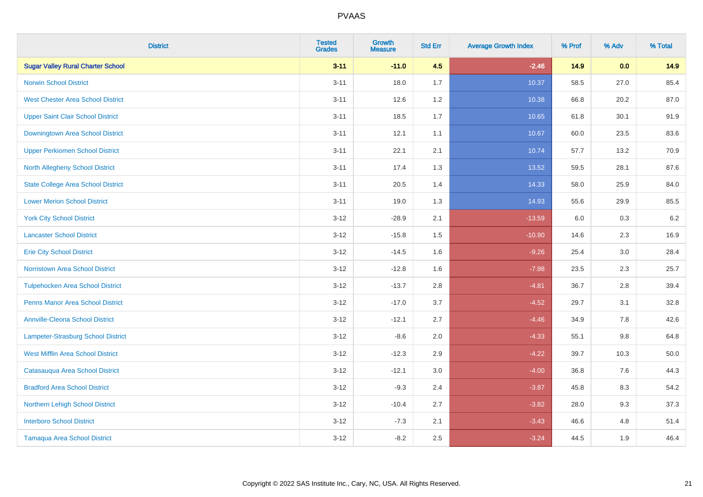| <b>District</b>                           | <b>Tested</b><br><b>Grades</b> | Growth<br><b>Measure</b> | <b>Std Err</b> | <b>Average Growth Index</b> | % Prof | % Adv   | % Total |
|-------------------------------------------|--------------------------------|--------------------------|----------------|-----------------------------|--------|---------|---------|
| <b>Sugar Valley Rural Charter School</b>  | $3 - 11$                       | $-11.0$                  | 4.5            | $-2.46$                     | 14.9   | 0.0     | 14.9    |
| <b>Norwin School District</b>             | $3 - 11$                       | 18.0                     | 1.7            | 10.37                       | 58.5   | 27.0    | 85.4    |
| <b>West Chester Area School District</b>  | $3 - 11$                       | 12.6                     | 1.2            | 10.38                       | 66.8   | 20.2    | 87.0    |
| <b>Upper Saint Clair School District</b>  | $3 - 11$                       | 18.5                     | 1.7            | 10.65                       | 61.8   | 30.1    | 91.9    |
| <b>Downingtown Area School District</b>   | $3 - 11$                       | 12.1                     | 1.1            | 10.67                       | 60.0   | 23.5    | 83.6    |
| <b>Upper Perkiomen School District</b>    | $3 - 11$                       | 22.1                     | 2.1            | 10.74                       | 57.7   | 13.2    | 70.9    |
| <b>North Allegheny School District</b>    | $3 - 11$                       | 17.4                     | 1.3            | 13.52                       | 59.5   | 28.1    | 87.6    |
| <b>State College Area School District</b> | $3 - 11$                       | 20.5                     | 1.4            | 14.33                       | 58.0   | 25.9    | 84.0    |
| <b>Lower Merion School District</b>       | $3 - 11$                       | 19.0                     | 1.3            | 14.93                       | 55.6   | 29.9    | 85.5    |
| <b>York City School District</b>          | $3 - 12$                       | $-28.9$                  | 2.1            | $-13.59$                    | 6.0    | 0.3     | 6.2     |
| <b>Lancaster School District</b>          | $3 - 12$                       | $-15.8$                  | 1.5            | $-10.90$                    | 14.6   | 2.3     | 16.9    |
| <b>Erie City School District</b>          | $3-12$                         | $-14.5$                  | 1.6            | $-9.26$                     | 25.4   | 3.0     | 28.4    |
| <b>Norristown Area School District</b>    | $3 - 12$                       | $-12.8$                  | 1.6            | $-7.98$                     | 23.5   | $2.3\,$ | 25.7    |
| <b>Tulpehocken Area School District</b>   | $3 - 12$                       | $-13.7$                  | 2.8            | $-4.81$                     | 36.7   | 2.8     | 39.4    |
| <b>Penns Manor Area School District</b>   | $3 - 12$                       | $-17.0$                  | 3.7            | $-4.52$                     | 29.7   | 3.1     | 32.8    |
| <b>Annville-Cleona School District</b>    | $3 - 12$                       | $-12.1$                  | 2.7            | $-4.46$                     | 34.9   | 7.8     | 42.6    |
| <b>Lampeter-Strasburg School District</b> | $3 - 12$                       | $-8.6$                   | 2.0            | $-4.33$                     | 55.1   | 9.8     | 64.8    |
| <b>West Mifflin Area School District</b>  | $3 - 12$                       | $-12.3$                  | 2.9            | $-4.22$                     | 39.7   | 10.3    | 50.0    |
| Catasauqua Area School District           | $3 - 12$                       | $-12.1$                  | 3.0            | $-4.00$                     | 36.8   | 7.6     | 44.3    |
| <b>Bradford Area School District</b>      | $3-12$                         | $-9.3$                   | 2.4            | $-3.87$                     | 45.8   | 8.3     | 54.2    |
| Northern Lehigh School District           | $3 - 12$                       | $-10.4$                  | 2.7            | $-3.82$                     | 28.0   | 9.3     | 37.3    |
| <b>Interboro School District</b>          | $3 - 12$                       | $-7.3$                   | 2.1            | $-3.43$                     | 46.6   | 4.8     | 51.4    |
| <b>Tamaqua Area School District</b>       | $3-12$                         | $-8.2$                   | 2.5            | $-3.24$                     | 44.5   | 1.9     | 46.4    |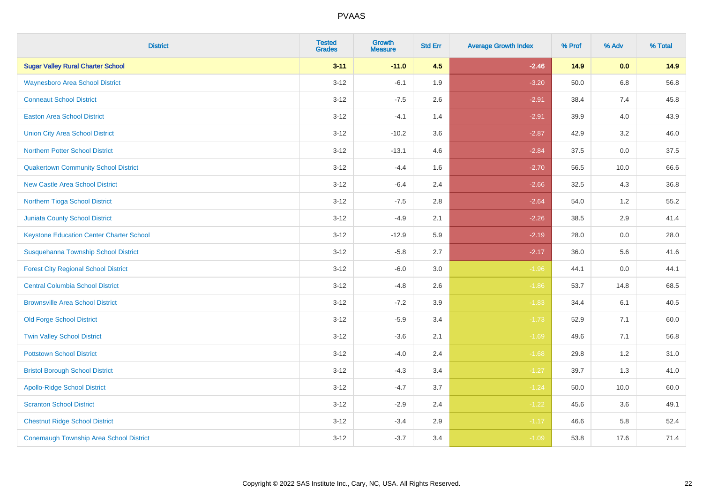| <b>District</b>                                 | <b>Tested</b><br><b>Grades</b> | <b>Growth</b><br><b>Measure</b> | <b>Std Err</b> | <b>Average Growth Index</b> | % Prof | % Adv   | % Total |
|-------------------------------------------------|--------------------------------|---------------------------------|----------------|-----------------------------|--------|---------|---------|
| <b>Sugar Valley Rural Charter School</b>        | $3 - 11$                       | $-11.0$                         | 4.5            | $-2.46$                     | 14.9   | 0.0     | 14.9    |
| <b>Waynesboro Area School District</b>          | $3 - 12$                       | $-6.1$                          | 1.9            | $-3.20$                     | 50.0   | $6.8\,$ | 56.8    |
| <b>Conneaut School District</b>                 | $3 - 12$                       | $-7.5$                          | 2.6            | $-2.91$                     | 38.4   | 7.4     | 45.8    |
| <b>Easton Area School District</b>              | $3 - 12$                       | $-4.1$                          | 1.4            | $-2.91$                     | 39.9   | 4.0     | 43.9    |
| <b>Union City Area School District</b>          | $3-12$                         | $-10.2$                         | 3.6            | $-2.87$                     | 42.9   | 3.2     | 46.0    |
| <b>Northern Potter School District</b>          | $3 - 12$                       | $-13.1$                         | 4.6            | $-2.84$                     | 37.5   | 0.0     | 37.5    |
| <b>Quakertown Community School District</b>     | $3 - 12$                       | $-4.4$                          | 1.6            | $-2.70$                     | 56.5   | 10.0    | 66.6    |
| <b>New Castle Area School District</b>          | $3 - 12$                       | $-6.4$                          | 2.4            | $-2.66$                     | 32.5   | 4.3     | 36.8    |
| Northern Tioga School District                  | $3 - 12$                       | $-7.5$                          | 2.8            | $-2.64$                     | 54.0   | 1.2     | 55.2    |
| <b>Juniata County School District</b>           | $3-12$                         | $-4.9$                          | 2.1            | $-2.26$                     | 38.5   | 2.9     | 41.4    |
| <b>Keystone Education Center Charter School</b> | $3 - 12$                       | $-12.9$                         | 5.9            | $-2.19$                     | 28.0   | 0.0     | 28.0    |
| Susquehanna Township School District            | $3 - 12$                       | $-5.8$                          | 2.7            | $-2.17$                     | 36.0   | 5.6     | 41.6    |
| <b>Forest City Regional School District</b>     | $3 - 12$                       | $-6.0$                          | $3.0\,$        | $-1.96$                     | 44.1   | $0.0\,$ | 44.1    |
| <b>Central Columbia School District</b>         | $3 - 12$                       | $-4.8$                          | 2.6            | $-1.86$                     | 53.7   | 14.8    | 68.5    |
| <b>Brownsville Area School District</b>         | $3 - 12$                       | $-7.2$                          | 3.9            | $-1.83$                     | 34.4   | 6.1     | 40.5    |
| <b>Old Forge School District</b>                | $3 - 12$                       | $-5.9$                          | 3.4            | $-1.73$                     | 52.9   | 7.1     | 60.0    |
| <b>Twin Valley School District</b>              | $3 - 12$                       | $-3.6$                          | 2.1            | $-1.69$                     | 49.6   | 7.1     | 56.8    |
| <b>Pottstown School District</b>                | $3 - 12$                       | $-4.0$                          | 2.4            | $-1.68$                     | 29.8   | 1.2     | 31.0    |
| <b>Bristol Borough School District</b>          | $3 - 12$                       | $-4.3$                          | 3.4            | $-1.27$                     | 39.7   | 1.3     | 41.0    |
| <b>Apollo-Ridge School District</b>             | $3 - 12$                       | $-4.7$                          | 3.7            | $-1.24$                     | 50.0   | 10.0    | 60.0    |
| <b>Scranton School District</b>                 | $3-12$                         | $-2.9$                          | 2.4            | $-1.22$                     | 45.6   | 3.6     | 49.1    |
| <b>Chestnut Ridge School District</b>           | $3 - 12$                       | $-3.4$                          | 2.9            | $-1.17$                     | 46.6   | 5.8     | 52.4    |
| <b>Conemaugh Township Area School District</b>  | $3 - 12$                       | $-3.7$                          | 3.4            | $-1.09$                     | 53.8   | 17.6    | 71.4    |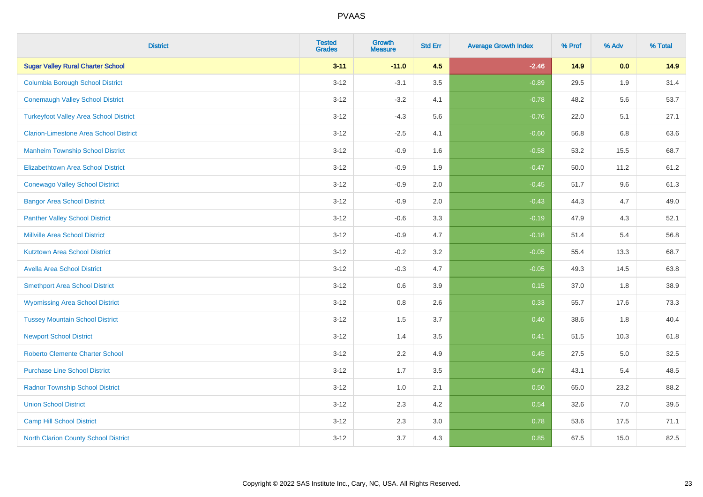| <b>District</b>                               | <b>Tested</b><br><b>Grades</b> | <b>Growth</b><br><b>Measure</b> | <b>Std Err</b> | <b>Average Growth Index</b> | % Prof | % Adv | % Total |
|-----------------------------------------------|--------------------------------|---------------------------------|----------------|-----------------------------|--------|-------|---------|
| <b>Sugar Valley Rural Charter School</b>      | $3 - 11$                       | $-11.0$                         | 4.5            | $-2.46$                     | 14.9   | 0.0   | 14.9    |
| <b>Columbia Borough School District</b>       | $3 - 12$                       | $-3.1$                          | 3.5            | $-0.89$                     | 29.5   | 1.9   | 31.4    |
| <b>Conemaugh Valley School District</b>       | $3 - 12$                       | $-3.2$                          | 4.1            | $-0.78$                     | 48.2   | 5.6   | 53.7    |
| <b>Turkeyfoot Valley Area School District</b> | $3 - 12$                       | $-4.3$                          | 5.6            | $-0.76$                     | 22.0   | 5.1   | 27.1    |
| <b>Clarion-Limestone Area School District</b> | $3 - 12$                       | $-2.5$                          | 4.1            | $-0.60$                     | 56.8   | 6.8   | 63.6    |
| <b>Manheim Township School District</b>       | $3-12$                         | $-0.9$                          | 1.6            | $-0.58$                     | 53.2   | 15.5  | 68.7    |
| <b>Elizabethtown Area School District</b>     | $3 - 12$                       | $-0.9$                          | 1.9            | $-0.47$                     | 50.0   | 11.2  | 61.2    |
| <b>Conewago Valley School District</b>        | $3 - 12$                       | $-0.9$                          | 2.0            | $-0.45$                     | 51.7   | 9.6   | 61.3    |
| <b>Bangor Area School District</b>            | $3 - 12$                       | $-0.9$                          | 2.0            | $-0.43$                     | 44.3   | 4.7   | 49.0    |
| <b>Panther Valley School District</b>         | $3 - 12$                       | $-0.6$                          | 3.3            | $-0.19$                     | 47.9   | 4.3   | 52.1    |
| <b>Millville Area School District</b>         | $3 - 12$                       | $-0.9$                          | 4.7            | $-0.18$                     | 51.4   | 5.4   | 56.8    |
| <b>Kutztown Area School District</b>          | $3 - 12$                       | $-0.2$                          | 3.2            | $-0.05$                     | 55.4   | 13.3  | 68.7    |
| <b>Avella Area School District</b>            | $3 - 12$                       | $-0.3$                          | 4.7            | $-0.05$                     | 49.3   | 14.5  | 63.8    |
| <b>Smethport Area School District</b>         | $3 - 12$                       | 0.6                             | 3.9            | 0.15                        | 37.0   | 1.8   | 38.9    |
| <b>Wyomissing Area School District</b>        | $3 - 12$                       | $0.8\,$                         | 2.6            | 0.33                        | 55.7   | 17.6  | 73.3    |
| <b>Tussey Mountain School District</b>        | $3 - 12$                       | 1.5                             | 3.7            | 0.40                        | 38.6   | 1.8   | 40.4    |
| <b>Newport School District</b>                | $3 - 12$                       | 1.4                             | 3.5            | 0.41                        | 51.5   | 10.3  | 61.8    |
| <b>Roberto Clemente Charter School</b>        | $3 - 12$                       | 2.2                             | 4.9            | 0.45                        | 27.5   | 5.0   | 32.5    |
| <b>Purchase Line School District</b>          | $3 - 12$                       | 1.7                             | 3.5            | 0.47                        | 43.1   | 5.4   | 48.5    |
| <b>Radnor Township School District</b>        | $3 - 12$                       | 1.0                             | 2.1            | 0.50                        | 65.0   | 23.2  | 88.2    |
| <b>Union School District</b>                  | $3 - 12$                       | 2.3                             | 4.2            | 0.54                        | 32.6   | 7.0   | 39.5    |
| Camp Hill School District                     | $3 - 12$                       | 2.3                             | 3.0            | 0.78                        | 53.6   | 17.5  | 71.1    |
| <b>North Clarion County School District</b>   | $3 - 12$                       | 3.7                             | 4.3            | 0.85                        | 67.5   | 15.0  | 82.5    |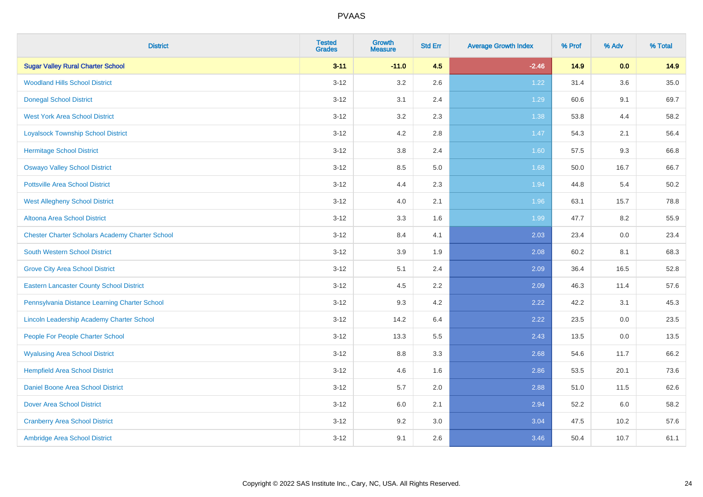| <b>District</b>                                        | <b>Tested</b><br><b>Grades</b> | <b>Growth</b><br><b>Measure</b> | <b>Std Err</b> | <b>Average Growth Index</b> | % Prof | % Adv | % Total |
|--------------------------------------------------------|--------------------------------|---------------------------------|----------------|-----------------------------|--------|-------|---------|
| <b>Sugar Valley Rural Charter School</b>               | $3 - 11$                       | $-11.0$                         | 4.5            | $-2.46$                     | 14.9   | 0.0   | 14.9    |
| <b>Woodland Hills School District</b>                  | $3 - 12$                       | 3.2                             | 2.6            | 1.22                        | 31.4   | 3.6   | 35.0    |
| <b>Donegal School District</b>                         | $3 - 12$                       | 3.1                             | 2.4            | 1.29                        | 60.6   | 9.1   | 69.7    |
| <b>West York Area School District</b>                  | $3 - 12$                       | 3.2                             | 2.3            | 1.38                        | 53.8   | 4.4   | 58.2    |
| <b>Loyalsock Township School District</b>              | $3 - 12$                       | 4.2                             | 2.8            | 1.47                        | 54.3   | 2.1   | 56.4    |
| <b>Hermitage School District</b>                       | $3 - 12$                       | $3.8\,$                         | 2.4            | 1.60                        | 57.5   | 9.3   | 66.8    |
| <b>Oswayo Valley School District</b>                   | $3 - 12$                       | 8.5                             | $5.0\,$        | 1.68                        | 50.0   | 16.7  | 66.7    |
| <b>Pottsville Area School District</b>                 | $3 - 12$                       | 4.4                             | 2.3            | 1.94                        | 44.8   | 5.4   | 50.2    |
| <b>West Allegheny School District</b>                  | $3 - 12$                       | 4.0                             | 2.1            | 1.96                        | 63.1   | 15.7  | 78.8    |
| Altoona Area School District                           | $3 - 12$                       | 3.3                             | 1.6            | 1.99                        | 47.7   | 8.2   | 55.9    |
| <b>Chester Charter Scholars Academy Charter School</b> | $3 - 12$                       | 8.4                             | 4.1            | 2.03                        | 23.4   | 0.0   | 23.4    |
| <b>South Western School District</b>                   | $3 - 12$                       | 3.9                             | 1.9            | 2.08                        | 60.2   | 8.1   | 68.3    |
| <b>Grove City Area School District</b>                 | $3 - 12$                       | 5.1                             | 2.4            | 2.09                        | 36.4   | 16.5  | 52.8    |
| <b>Eastern Lancaster County School District</b>        | $3 - 12$                       | 4.5                             | 2.2            | 2.09                        | 46.3   | 11.4  | 57.6    |
| Pennsylvania Distance Learning Charter School          | $3 - 12$                       | 9.3                             | 4.2            | 2.22                        | 42.2   | 3.1   | 45.3    |
| Lincoln Leadership Academy Charter School              | $3 - 12$                       | 14.2                            | 6.4            | 2.22                        | 23.5   | 0.0   | 23.5    |
| People For People Charter School                       | $3 - 12$                       | 13.3                            | 5.5            | 2.43                        | 13.5   | 0.0   | 13.5    |
| <b>Wyalusing Area School District</b>                  | $3 - 12$                       | 8.8                             | 3.3            | 2.68                        | 54.6   | 11.7  | 66.2    |
| <b>Hempfield Area School District</b>                  | $3 - 12$                       | 4.6                             | 1.6            | 2.86                        | 53.5   | 20.1  | 73.6    |
| Daniel Boone Area School District                      | $3 - 12$                       | 5.7                             | 2.0            | 2.88                        | 51.0   | 11.5  | 62.6    |
| <b>Dover Area School District</b>                      | $3 - 12$                       | 6.0                             | 2.1            | 2.94                        | 52.2   | 6.0   | 58.2    |
| <b>Cranberry Area School District</b>                  | $3 - 12$                       | 9.2                             | 3.0            | 3.04                        | 47.5   | 10.2  | 57.6    |
| Ambridge Area School District                          | $3 - 12$                       | 9.1                             | 2.6            | 3.46                        | 50.4   | 10.7  | 61.1    |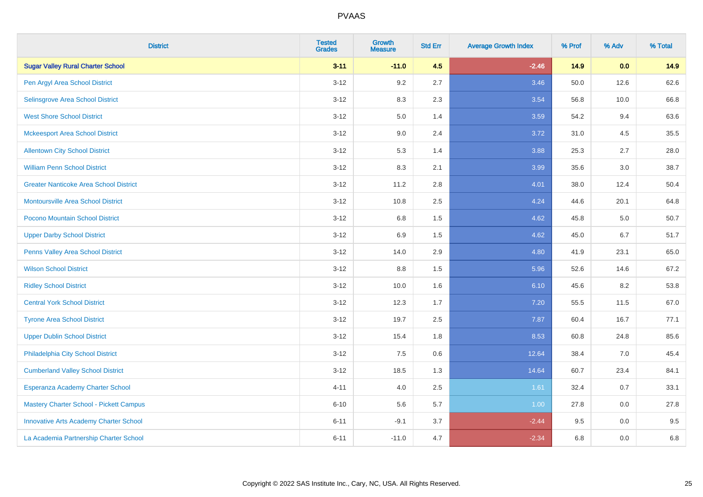| <b>District</b>                               | <b>Tested</b><br><b>Grades</b> | <b>Growth</b><br><b>Measure</b> | <b>Std Err</b> | <b>Average Growth Index</b> | % Prof | % Adv | % Total |
|-----------------------------------------------|--------------------------------|---------------------------------|----------------|-----------------------------|--------|-------|---------|
| <b>Sugar Valley Rural Charter School</b>      | $3 - 11$                       | $-11.0$                         | 4.5            | $-2.46$                     | 14.9   | 0.0   | 14.9    |
| Pen Argyl Area School District                | $3 - 12$                       | 9.2                             | 2.7            | 3.46                        | 50.0   | 12.6  | 62.6    |
| Selinsgrove Area School District              | $3 - 12$                       | 8.3                             | 2.3            | 3.54                        | 56.8   | 10.0  | 66.8    |
| <b>West Shore School District</b>             | $3 - 12$                       | 5.0                             | 1.4            | 3.59                        | 54.2   | 9.4   | 63.6    |
| <b>Mckeesport Area School District</b>        | $3 - 12$                       | 9.0                             | 2.4            | 3.72                        | 31.0   | 4.5   | 35.5    |
| <b>Allentown City School District</b>         | $3 - 12$                       | 5.3                             | 1.4            | 3.88                        | 25.3   | 2.7   | 28.0    |
| <b>William Penn School District</b>           | $3 - 12$                       | 8.3                             | 2.1            | 3.99                        | 35.6   | 3.0   | 38.7    |
| <b>Greater Nanticoke Area School District</b> | $3 - 12$                       | 11.2                            | 2.8            | 4.01                        | 38.0   | 12.4  | 50.4    |
| Montoursville Area School District            | $3 - 12$                       | 10.8                            | 2.5            | 4.24                        | 44.6   | 20.1  | 64.8    |
| Pocono Mountain School District               | $3 - 12$                       | 6.8                             | 1.5            | 4.62                        | 45.8   | 5.0   | 50.7    |
| <b>Upper Darby School District</b>            | $3 - 12$                       | 6.9                             | 1.5            | 4.62                        | 45.0   | 6.7   | 51.7    |
| Penns Valley Area School District             | $3 - 12$                       | 14.0                            | 2.9            | 4.80                        | 41.9   | 23.1  | 65.0    |
| <b>Wilson School District</b>                 | $3 - 12$                       | $8.8\,$                         | 1.5            | 5.96                        | 52.6   | 14.6  | 67.2    |
| <b>Ridley School District</b>                 | $3 - 12$                       | 10.0                            | 1.6            | 6.10                        | 45.6   | 8.2   | 53.8    |
| <b>Central York School District</b>           | $3 - 12$                       | 12.3                            | 1.7            | 7.20                        | 55.5   | 11.5  | 67.0    |
| <b>Tyrone Area School District</b>            | $3 - 12$                       | 19.7                            | 2.5            | 7.87                        | 60.4   | 16.7  | 77.1    |
| <b>Upper Dublin School District</b>           | $3 - 12$                       | 15.4                            | 1.8            | 8.53                        | 60.8   | 24.8  | 85.6    |
| Philadelphia City School District             | $3 - 12$                       | 7.5                             | 0.6            | 12.64                       | 38.4   | 7.0   | 45.4    |
| <b>Cumberland Valley School District</b>      | $3 - 12$                       | 18.5                            | 1.3            | 14.64                       | 60.7   | 23.4  | 84.1    |
| Esperanza Academy Charter School              | $4 - 11$                       | 4.0                             | 2.5            | 1.61                        | 32.4   | 0.7   | 33.1    |
| Mastery Charter School - Pickett Campus       | $6 - 10$                       | 5.6                             | 5.7            | 1.00                        | 27.8   | 0.0   | 27.8    |
| <b>Innovative Arts Academy Charter School</b> | $6 - 11$                       | $-9.1$                          | 3.7            | $-2.44$                     | 9.5    | 0.0   | 9.5     |
| La Academia Partnership Charter School        | $6 - 11$                       | $-11.0$                         | 4.7            | $-2.34$                     | 6.8    | 0.0   | 6.8     |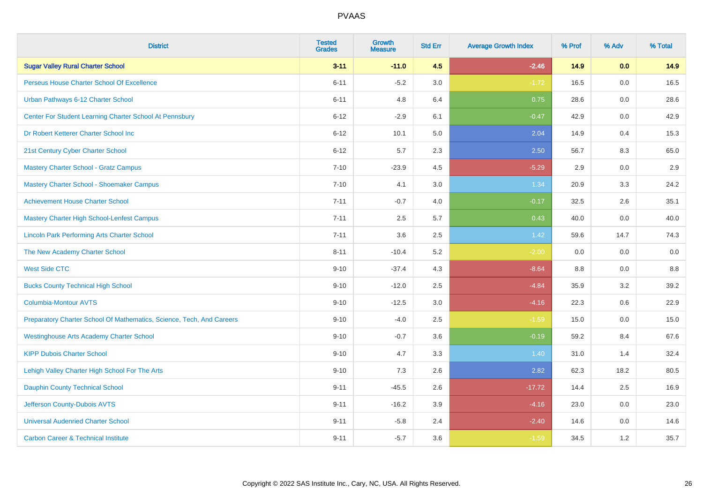| <b>District</b>                                                       | <b>Tested</b><br><b>Grades</b> | <b>Growth</b><br><b>Measure</b> | <b>Std Err</b> | <b>Average Growth Index</b> | % Prof | % Adv   | % Total |
|-----------------------------------------------------------------------|--------------------------------|---------------------------------|----------------|-----------------------------|--------|---------|---------|
| <b>Sugar Valley Rural Charter School</b>                              | $3 - 11$                       | $-11.0$                         | 4.5            | $-2.46$                     | 14.9   | 0.0     | 14.9    |
| Perseus House Charter School Of Excellence                            | $6 - 11$                       | $-5.2$                          | 3.0            | $-1.72$                     | 16.5   | 0.0     | 16.5    |
| Urban Pathways 6-12 Charter School                                    | $6 - 11$                       | 4.8                             | 6.4            | 0.75                        | 28.6   | 0.0     | 28.6    |
| Center For Student Learning Charter School At Pennsbury               | $6 - 12$                       | $-2.9$                          | 6.1            | $-0.47$                     | 42.9   | 0.0     | 42.9    |
| Dr Robert Ketterer Charter School Inc                                 | $6 - 12$                       | 10.1                            | 5.0            | 2.04                        | 14.9   | 0.4     | 15.3    |
| 21st Century Cyber Charter School                                     | $6 - 12$                       | 5.7                             | 2.3            | 2.50                        | 56.7   | 8.3     | 65.0    |
| <b>Mastery Charter School - Gratz Campus</b>                          | $7 - 10$                       | $-23.9$                         | 4.5            | $-5.29$                     | 2.9    | 0.0     | 2.9     |
| Mastery Charter School - Shoemaker Campus                             | $7 - 10$                       | 4.1                             | 3.0            | 1.34                        | 20.9   | 3.3     | 24.2    |
| <b>Achievement House Charter School</b>                               | $7 - 11$                       | $-0.7$                          | 4.0            | $-0.17$                     | 32.5   | 2.6     | 35.1    |
| <b>Mastery Charter High School-Lenfest Campus</b>                     | $7 - 11$                       | 2.5                             | 5.7            | 0.43                        | 40.0   | 0.0     | 40.0    |
| <b>Lincoln Park Performing Arts Charter School</b>                    | $7 - 11$                       | 3.6                             | 2.5            | $1.42$                      | 59.6   | 14.7    | 74.3    |
| The New Academy Charter School                                        | $8 - 11$                       | $-10.4$                         | 5.2            | $-2.00$                     | 0.0    | 0.0     | 0.0     |
| <b>West Side CTC</b>                                                  | $9 - 10$                       | $-37.4$                         | 4.3            | $-8.64$                     | 8.8    | 0.0     | $8.8\,$ |
| <b>Bucks County Technical High School</b>                             | $9 - 10$                       | $-12.0$                         | 2.5            | $-4.84$                     | 35.9   | 3.2     | 39.2    |
| <b>Columbia-Montour AVTS</b>                                          | $9 - 10$                       | $-12.5$                         | 3.0            | $-4.16$                     | 22.3   | $0.6\,$ | 22.9    |
| Preparatory Charter School Of Mathematics, Science, Tech, And Careers | $9 - 10$                       | $-4.0$                          | 2.5            | $-1.59$                     | 15.0   | $0.0\,$ | 15.0    |
| <b>Westinghouse Arts Academy Charter School</b>                       | $9 - 10$                       | $-0.7$                          | 3.6            | $-0.19$                     | 59.2   | 8.4     | 67.6    |
| <b>KIPP Dubois Charter School</b>                                     | $9 - 10$                       | 4.7                             | 3.3            | 1.40                        | 31.0   | 1.4     | 32.4    |
| Lehigh Valley Charter High School For The Arts                        | $9 - 10$                       | 7.3                             | 2.6            | 2.82                        | 62.3   | 18.2    | 80.5    |
| <b>Dauphin County Technical School</b>                                | $9 - 11$                       | $-45.5$                         | 2.6            | $-17.72$                    | 14.4   | 2.5     | 16.9    |
| Jefferson County-Dubois AVTS                                          | $9 - 11$                       | $-16.2$                         | 3.9            | $-4.16$                     | 23.0   | 0.0     | 23.0    |
| <b>Universal Audenried Charter School</b>                             | $9 - 11$                       | $-5.8$                          | 2.4            | $-2.40$                     | 14.6   | 0.0     | 14.6    |
| <b>Carbon Career &amp; Technical Institute</b>                        | $9 - 11$                       | $-5.7$                          | 3.6            | $-1.59$                     | 34.5   | 1.2     | 35.7    |